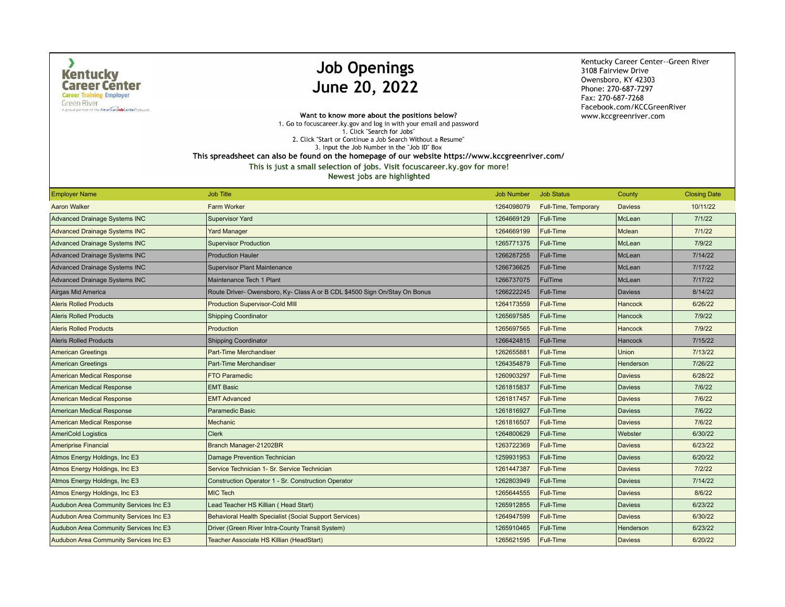$\lambda$ 

A proud partner of the American Job Center hetwork

## **Job Openings** June 20, 2022

Kentucky Career Center--Green River 3108 Fairview Drive Owensboro, KY 42303 Phone: 270-687-7297 Fax: 270-687-7268 Facebook.com/KCCGreenRiver www.kccgreenriver.com

Want to know more about the positions below? 1. Go to focuscareer.ky.gov and log in with your email and password 1. Click "Search for Jobs" 2. Click "Start or Continue a Job Search Without a Resume" 3. Input the Job Number in the "Job ID" Box

This spreadsheet can also be found on the homepage of our website https://www.kccgreenriver.com/

This is just a small selection of jobs. Visit focuscareer.ky.gov for more!

| <b>Employer Name</b>                   | <b>Job Title</b>                                                           | <b>Job Number</b> | <b>Job Status</b>    | County         | <b>Closing Date</b> |
|----------------------------------------|----------------------------------------------------------------------------|-------------------|----------------------|----------------|---------------------|
| <b>Aaron Walker</b>                    | <b>Farm Worker</b>                                                         | 1264098079        | Full-Time, Temporary | <b>Daviess</b> | 10/11/22            |
| <b>Advanced Drainage Systems INC</b>   | <b>Supervisor Yard</b>                                                     | 1264669129        | Full-Time            | McLean         | 7/1/22              |
| <b>Advanced Drainage Systems INC</b>   | <b>Yard Manager</b>                                                        | 1264669199        | Full-Time            | Mclean         | 7/1/22              |
| Advanced Drainage Systems INC          | <b>Supervisor Production</b>                                               | 1265771375        | Full-Time            | McLean         | 7/9/22              |
| Advanced Drainage Systems INC          | <b>Production Hauler</b>                                                   | 1266287255        | Full-Time            | McLean         | 7/14/22             |
| Advanced Drainage Systems INC          | <b>Supervisor Plant Maintenance</b>                                        | 1266736625        | Full-Time            | McLean         | 7/17/22             |
| <b>Advanced Drainage Systems INC</b>   | Maintenance Tech 1 Plant                                                   | 1266737075        | FulTime              | McLean         | 7/17/22             |
| Airgas Mid America                     | Route Driver- Owensboro, Ky- Class A or B CDL \$4500 Sign On/Stay On Bonus | 1266222245        | Full-Time            | <b>Daviess</b> | 8/14/22             |
| <b>Aleris Rolled Products</b>          | <b>Production Supervisor-Cold MIII</b>                                     | 1264173559        | Full-Time            | <b>Hancock</b> | 6/26/22             |
| <b>Aleris Rolled Products</b>          | <b>Shipping Coordinator</b>                                                | 1265697585        | Full-Time            | <b>Hancock</b> | 7/9/22              |
| <b>Aleris Rolled Products</b>          | Production                                                                 | 1265697565        | Full-Time            | <b>Hancock</b> | 7/9/22              |
| <b>Aleris Rolled Products</b>          | <b>Shipping Coordinator</b>                                                | 1266424815        | Full-Time            | Hancock        | 7/15/22             |
| <b>American Greetings</b>              | Part-Time Merchandiser                                                     | 1262655881        | Full-Time            | <b>Union</b>   | 7/13/22             |
| <b>American Greetings</b>              | Part-Time Merchandiser                                                     | 1264354879        | Full-Time            | Henderson      | 7/26/22             |
| <b>American Medical Response</b>       | <b>FTO Paramedic</b>                                                       | 1260903297        | Full-Time            | <b>Daviess</b> | 6/28/22             |
| American Medical Response              | <b>EMT Basic</b>                                                           | 1261815837        | Full-Time            | <b>Daviess</b> | 7/6/22              |
| <b>American Medical Response</b>       | <b>EMT Advanced</b>                                                        | 1261817457        | Full-Time            | <b>Daviess</b> | 7/6/22              |
| American Medical Response              | <b>Paramedic Basic</b>                                                     | 1261816927        | Full-Time            | <b>Daviess</b> | 7/6/22              |
| <b>American Medical Response</b>       | <b>Mechanic</b>                                                            | 1261816507        | Full-Time            | <b>Daviess</b> | 7/6/22              |
| <b>AmeriCold Logistics</b>             | <b>Clerk</b>                                                               | 1264800629        | Full-Time            | Webster        | 6/30/22             |
| <b>Ameriprise Financial</b>            | Branch Manager-21202BR                                                     | 1263722369        | Full-Time            | <b>Daviess</b> | 6/23/22             |
| Atmos Energy Holdings, Inc E3          | Damage Prevention Technician                                               | 1259931953        | Full-Time            | <b>Daviess</b> | 6/20/22             |
| Atmos Energy Holdings, Inc E3          | Service Technician 1- Sr. Service Technician                               | 1261447387        | Full-Time            | <b>Daviess</b> | 7/2/22              |
| Atmos Energy Holdings, Inc E3          | Construction Operator 1 - Sr. Construction Operator                        | 1262803949        | Full-Time            | <b>Daviess</b> | 7/14/22             |
| Atmos Energy Holdings, Inc E3          | <b>MIC Tech</b>                                                            | 1265644555        | Full-Time            | <b>Daviess</b> | 8/6/22              |
| Audubon Area Community Services Inc E3 | Lead Teacher HS Killian (Head Start)                                       | 1265912855        | Full-Time            | <b>Daviess</b> | 6/23/22             |
| Audubon Area Community Services Inc E3 | <b>Behavioral Health Specialist (Social Support Services)</b>              | 1264947599        | Full-Time            | <b>Daviess</b> | 6/30/22             |
| Audubon Area Community Services Inc E3 | Driver (Green River Intra-County Transit System)                           | 1265910465        | Full-Time            | Henderson      | 6/23/22             |
| Audubon Area Community Services Inc E3 | Teacher Associate HS Killian (HeadStart)                                   | 1265621595        | Full-Time            | <b>Daviess</b> | 6/20/22             |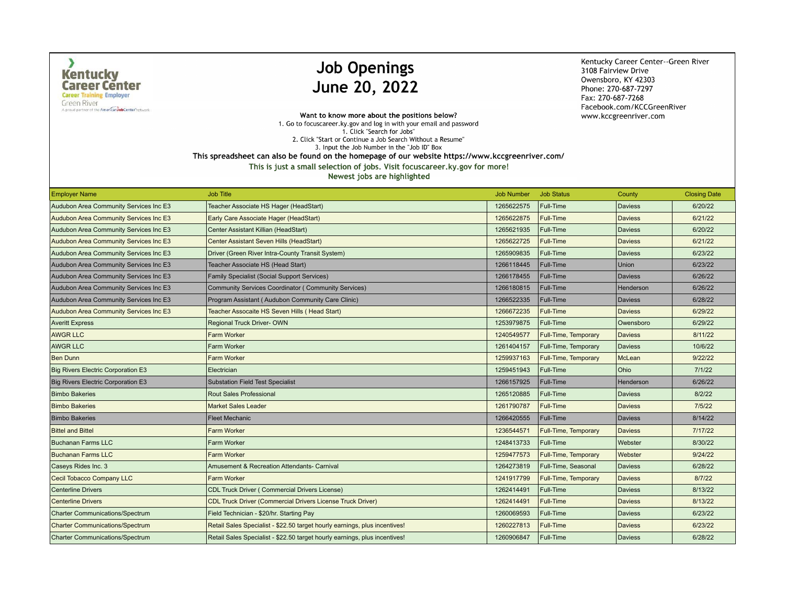$\lambda$ 

**Green River** A proud partner of the American Job Center hetwork

# **Job Openings** June 20, 2022

Kentucky Career Center--Green River 3108 Fairview Drive Owensboro, KY 42303 Phone: 270-687-7297 Fax: 270-687-7268 Facebook.com/KCCGreenRiver www.kccgreenriver.com

Want to know more about the positions below? 1. Go to focuscareer.ky.gov and log in with your email and password 1. Click "Search for Jobs" 2. Click "Start or Continue a Job Search Without a Resume" 3. Input the Job Number in the "Job ID" Box This spreadsheet can also be found on the homepage of our website https://www.kccgreenriver.com/

This is just a small selection of jobs. Visit focuscareer.ky.gov for more!

| <b>Employer Name</b>                      | <b>Job Title</b>                                                           | <b>Job Number</b> | <b>Job Status</b>    | County         | <b>Closing Date</b> |
|-------------------------------------------|----------------------------------------------------------------------------|-------------------|----------------------|----------------|---------------------|
| Audubon Area Community Services Inc E3    | Teacher Associate HS Hager (HeadStart)                                     | 1265622575        | Full-Time            | <b>Daviess</b> | 6/20/22             |
| Audubon Area Community Services Inc E3    | Early Care Associate Hager (HeadStart)                                     | 1265622875        | Full-Time            | <b>Daviess</b> | 6/21/22             |
| Audubon Area Community Services Inc E3    | Center Assistant Killian (HeadStart)                                       | 1265621935        | Full-Time            | Daviess        | 6/20/22             |
| Audubon Area Community Services Inc E3    | Center Assistant Seven Hills (HeadStart)                                   | 1265622725        | Full-Time            | <b>Daviess</b> | 6/21/22             |
| Audubon Area Community Services Inc E3    | Driver (Green River Intra-County Transit System)                           | 1265909835        | Full-Time            | <b>Daviess</b> | 6/23/22             |
| Audubon Area Community Services Inc E3    | Teacher Associate HS (Head Start)                                          | 1266118445        | <b>Full-Time</b>     | Union          | 6/23/22             |
| Audubon Area Community Services Inc E3    | Family Specialist (Social Support Services)                                | 1266178455        | Full-Time            | Daviess        | 6/26/22             |
| Audubon Area Community Services Inc E3    | Community Services Coordinator (Community Services)                        | 1266180815        | <b>Full-Time</b>     | Henderson      | 6/26/22             |
| Audubon Area Community Services Inc E3    | Program Assistant (Audubon Community Care Clinic)                          | 1266522335        | Full-Time            | <b>Daviess</b> | 6/28/22             |
| Audubon Area Community Services Inc E3    | Teacher Assocaite HS Seven Hills (Head Start)                              | 1266672235        | Full-Time            | <b>Daviess</b> | 6/29/22             |
| <b>Averitt Express</b>                    | Regional Truck Driver-OWN                                                  | 1253979875        | Full-Time            | Owensboro      | 6/29/22             |
| <b>AWGR LLC</b>                           | <b>Farm Worker</b>                                                         | 1240549577        | Full-Time, Temporary | <b>Daviess</b> | 8/11/22             |
| <b>AWGR LLC</b>                           | <b>Farm Worker</b>                                                         | 1261404157        | Full-Time, Temporary | Daviess        | 10/6/22             |
| <b>Ben Dunn</b>                           | <b>Farm Worker</b>                                                         | 1259937163        | Full-Time, Temporary | McLean         | 9/22/22             |
| Big Rivers Electric Corporation E3        | Electrician                                                                | 1259451943        | Full-Time            | Ohio           | 7/1/22              |
| <b>Big Rivers Electric Corporation E3</b> | <b>Substation Field Test Specialist</b>                                    | 1266157925        | Full-Time            | Henderson      | 6/26/22             |
| <b>Bimbo Bakeries</b>                     | <b>Rout Sales Professional</b>                                             | 1265120885        | Full-Time            | <b>Daviess</b> | 8/2/22              |
| <b>Bimbo Bakeries</b>                     | <b>Market Sales Leader</b>                                                 | 1261790787        | <b>Full-Time</b>     | <b>Daviess</b> | 7/5/22              |
| <b>Bimbo Bakeries</b>                     | <b>Fleet Mechanic</b>                                                      | 1266420555        | Full-Time            | Daviess        | 8/14/22             |
| <b>Bittel and Bittel</b>                  | <b>Farm Worker</b>                                                         | 1236544571        | Full-Time, Temporary | <b>Daviess</b> | 7/17/22             |
| <b>Buchanan Farms LLC</b>                 | <b>Farm Worker</b>                                                         | 1248413733        | Full-Time            | Webster        | 8/30/22             |
| <b>Buchanan Farms LLC</b>                 | <b>Farm Worker</b>                                                         | 1259477573        | Full-Time, Temporary | Webster        | 9/24/22             |
| Caseys Rides Inc. 3                       | <b>Amusement &amp; Recreation Attendants- Carnival</b>                     | 1264273819        | Full-Time, Seasonal  | Daviess        | 6/28/22             |
| Cecil Tobacco Company LLC                 | <b>Farm Worker</b>                                                         | 1241917799        | Full-Time, Temporary | <b>Daviess</b> | 8/7/22              |
| <b>Centerline Drivers</b>                 | <b>CDL Truck Driver (Commercial Drivers License)</b>                       | 1262414491        | Full-Time            | Daviess        | 8/13/22             |
| <b>Centerline Drivers</b>                 | <b>CDL Truck Driver (Commercial Drivers License Truck Driver)</b>          | 1262414491        | Full-Time            | <b>Daviess</b> | 8/13/22             |
| <b>Charter Communications/Spectrum</b>    | Field Technician - \$20/hr. Starting Pay                                   | 1260069593        | Full-Time            | <b>Daviess</b> | 6/23/22             |
| <b>Charter Communications/Spectrum</b>    | Retail Sales Specialist - \$22.50 target hourly earnings, plus incentives! | 1260227813        | Full-Time            | <b>Daviess</b> | 6/23/22             |
| <b>Charter Communications/Spectrum</b>    | Retail Sales Specialist - \$22.50 target hourly earnings, plus incentives! | 1260906847        | Full-Time            | Daviess        | 6/28/22             |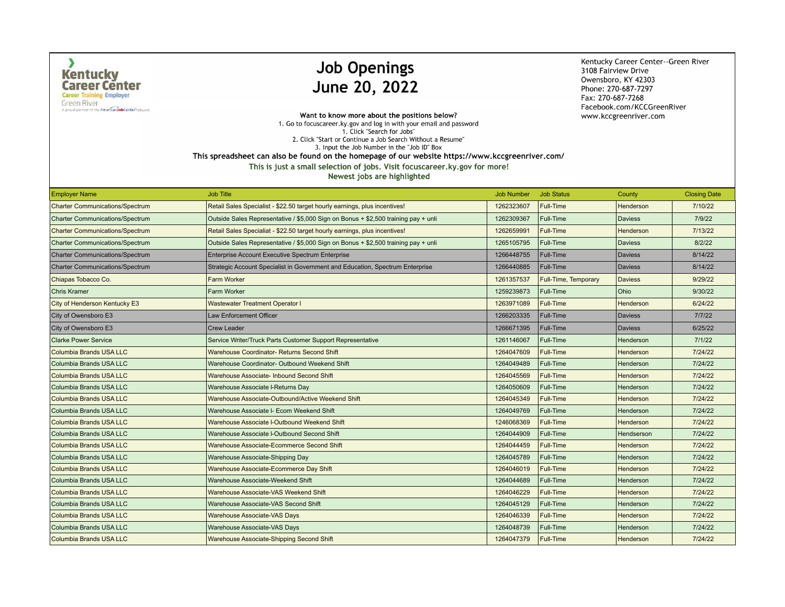$\lambda$ 

**Green River** A proud partner of the American Job Center hetwork

# **Job Openings** June 20, 2022

Kentucky Career Center--Green River 3108 Fairview Drive Owensboro, KY 42303 Phone: 270-687-7297 Fax: 270-687-7268 Facebook.com/KCCGreenRiver www.kccgreenriver.com

Want to know more about the positions below? 1. Go to focuscareer.ky.gov and log in with your email and password 1. Click "Search for Jobs" 2. Click "Start or Continue a Job Search Without a Resume" 3. Input the Job Number in the "Job ID" Box This spreadsheet can also be found on the homepage of our website https://www.kccgreenriver.com/

| <b>Employer Name</b>                   | <b>Job Title</b>                                                                   | <b>Job Number</b> | <b>Job Status</b>    | County           | <b>Closing Date</b> |
|----------------------------------------|------------------------------------------------------------------------------------|-------------------|----------------------|------------------|---------------------|
| <b>Charter Communications/Spectrum</b> | Retail Sales Specialist - \$22.50 target hourly earnings, plus incentives!         | 1262323607        | Full-Time            | Henderson        | 7/10/22             |
| <b>Charter Communications/Spectrum</b> | Outside Sales Representative / \$5,000 Sign on Bonus + \$2,500 training pay + unli | 1262309367        | Full-Time            | <b>Daviess</b>   | 7/9/22              |
| <b>Charter Communications/Spectrum</b> | Retail Sales Specialiat - \$22.50 target hourly earnings, plus incentives!         | 1262659991        | Full-Time            | Henderson        | 7/13/22             |
| <b>Charter Communications/Spectrum</b> | Outside Sales Representative / \$5,000 Sign on Bonus + \$2,500 training pay + unli | 1265105795        | Full-Time            | <b>Daviess</b>   | 8/2/22              |
| <b>Charter Communications/Spectrum</b> | Enterprise Account Executive Spectrum Enterprise                                   | 1266448755        | Full-Time            | <b>Daviess</b>   | 8/14/22             |
| <b>Charter Communications/Spectrum</b> | Strategic Account Specialist in Government and Education, Spectrum Enterprise      | 1266440885        | Full-Time            | <b>Daviess</b>   | 8/14/22             |
| Chiapas Tobacco Co.                    | <b>Farm Worker</b>                                                                 | 1261357537        | Full-Time, Temporary | <b>Daviess</b>   | 9/29/22             |
| <b>Chris Kramer</b>                    | Farm Worker                                                                        | 1259239873        | Full-Time            | Ohio             | 9/30/22             |
| City of Henderson Kentucky E3          | <b>Wastewater Treatment Operator I</b>                                             | 1263971089        | Full-Time            | Henderson        | 6/24/22             |
| City of Owensboro E3                   | <b>Law Enforcement Officer</b>                                                     | 1266203335        | Full-Time            | <b>Daviess</b>   | 7/7/22              |
| City of Owensboro E3                   | <b>Crew Leader</b>                                                                 | 1266671395        | Full-Time            | <b>Daviess</b>   | 6/25/22             |
| <b>Clarke Power Service</b>            | Service Writer/Truck Parts Customer Support Representative                         | 1261146067        | Full-Time            | Henderson        | 7/1/22              |
| Columbia Brands USA LLC                | Warehouse Coordinator- Returns Second Shift                                        | 1264047609        | Full-Time            | Henderson        | 7/24/22             |
| Columbia Brands USA LLC                | Warehouse Coordinator- Outbound Weekend Shift                                      | 1264049489        | Full-Time            | Henderson        | 7/24/22             |
| Columbia Brands USA LLC                | Warehouse Associate- Inbound Second Shift                                          | 1264045569        | Full-Time            | Henderson        | 7/24/22             |
| Columbia Brands USA LLC                | Warehouse Associate I-Returns Day                                                  | 1264050609        | Full-Time            | Henderson        | 7/24/22             |
| Columbia Brands USA LLC                | Warehouse Associate-Outbound/Active Weekend Shift                                  | 1264045349        | Full-Time            | Henderson        | 7/24/22             |
| Columbia Brands USA LLC                | Warehouse Associate I- Ecom Weekend Shift                                          | 1264049769        | Full-Time            | Henderson        | 7/24/22             |
| Columbia Brands USA LLC                | Warehouse Associate I-Outbound Weekend Shift                                       | 1246068369        | Full-Time            | <b>Henderson</b> | 7/24/22             |
| Columbia Brands USA LLC                | Warehouse Associate I-Outbound Second Shift                                        | 1264044909        | Full-Time            | Hendserson       | 7/24/22             |
| Columbia Brands USA LLC                | Warehouse Associate-Ecommerce Second Shift                                         | 1264044459        | Full-Time            | Henderson        | 7/24/22             |
| Columbia Brands USA LLC                | Warehouse Associate-Shipping Day                                                   | 1264045789        | Full-Time            | Henderson        | 7/24/22             |
| Columbia Brands USA LLC                | Warehouse Associate-Ecommerce Day Shift                                            | 1264046019        | <b>Full-Time</b>     | Henderson        | 7/24/22             |
| Columbia Brands USA LLC                | Warehouse Associate-Weekend Shift                                                  | 1264044689        | Full-Time            | Henderson        | 7/24/22             |
| Columbia Brands USA LLC                | <b>Warehouse Associate-VAS Weekend Shift</b>                                       | 1264046229        | <b>Full-Time</b>     | Henderson        | 7/24/22             |
| Columbia Brands USA LLC                | Warehouse Associate-VAS Second Shift                                               | 1264045129        | Full-Time            | Henderson        | 7/24/22             |
| Columbia Brands USA LLC                | <b>Warehouse Associate-VAS Days</b>                                                | 1264046339        | Full-Time            | Henderson        | 7/24/22             |
| Columbia Brands USA LLC                | Warehouse Associate-VAS Days                                                       | 1264048739        | Full-Time            | Henderson        | 7/24/22             |
| Columbia Brands USA LLC                | Warehouse Associate-Shipping Second Shift                                          | 1264047379        | Full-Time            | Henderson        | 7/24/22             |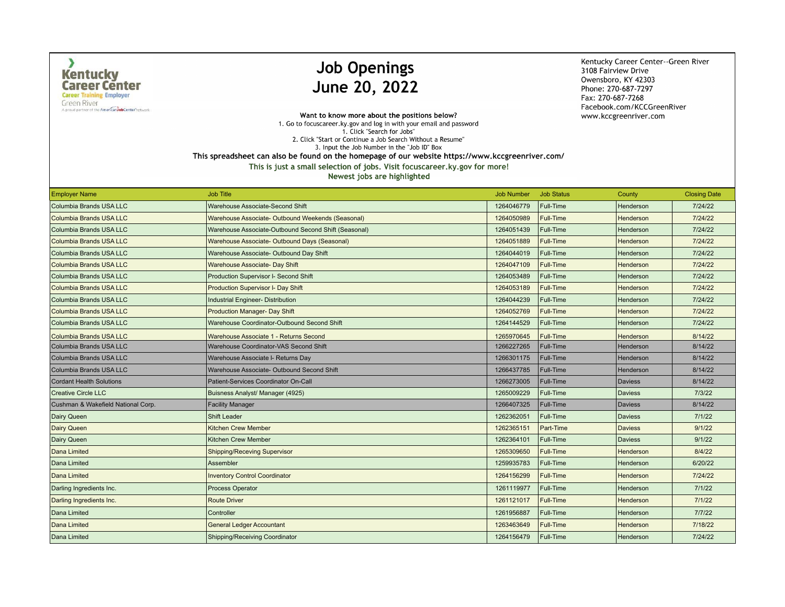$\lambda$ 

**Green River** A proud partner of the American Job Center hetwork

# **Job Openings** June 20, 2022

Kentucky Career Center--Green River 3108 Fairview Drive Owensboro, KY 42303 Phone: 270-687-7297 Fax: 270-687-7268 Facebook.com/KCCGreenRiver www.kccgreenriver.com

Want to know more about the positions below? 1. Go to focuscareer.ky.gov and log in with your email and password 1. Click "Search for Jobs" 2. Click "Start or Continue a Job Search Without a Resume" 3. Input the Job Number in the "Job ID" Box This spreadsheet can also be found on the homepage of our website https://www.kccgreenriver.com/

This is just a small selection of jobs. Visit focuscareer.ky.gov for more!

| <b>Employer Name</b>               | <b>Job Title</b>                                     | <b>Job Number</b> | <b>Job Status</b> | County         | <b>Closing Date</b> |
|------------------------------------|------------------------------------------------------|-------------------|-------------------|----------------|---------------------|
| Columbia Brands USA LLC            | Warehouse Associate-Second Shift                     | 1264046779        | Full-Time         | Henderson      | 7/24/22             |
| <b>Columbia Brands USA LLC</b>     | Warehouse Associate- Outbound Weekends (Seasonal)    | 1264050989        | Full-Time         | Henderson      | 7/24/22             |
| Columbia Brands USA LLC            | Warehouse Associate-Outbound Second Shift (Seasonal) | 1264051439        | Full-Time         | Henderson      | 7/24/22             |
| <b>Columbia Brands USA LLC</b>     | Warehouse Associate- Outbound Days (Seasonal)        | 1264051889        | Full-Time         | Henderson      | 7/24/22             |
| Columbia Brands USA LLC            | Warehouse Associate- Outbound Day Shift              | 1264044019        | Full-Time         | Henderson      | 7/24/22             |
| <b>Columbia Brands USA LLC</b>     | Warehouse Associate- Day Shift                       | 1264047109        | Full-Time         | Henderson      | 7/24/22             |
| Columbia Brands USA LLC            | Production Supervisor I- Second Shift                | 1264053489        | Full-Time         | Henderson      | 7/24/22             |
| <b>Columbia Brands USA LLC</b>     | Production Supervisor I- Day Shift                   | 1264053189        | Full-Time         | Henderson      | 7/24/22             |
| Columbia Brands USA LLC            | Industrial Engineer- Distribution                    | 1264044239        | Full-Time         | Henderson      | 7/24/22             |
| <b>Columbia Brands USA LLC</b>     | <b>Production Manager- Day Shift</b>                 | 1264052769        | Full-Time         | Henderson      | 7/24/22             |
| Columbia Brands USA LLC            | Warehouse Coordinator-Outbound Second Shift          | 1264144529        | Full-Time         | Henderson      | 7/24/22             |
| Columbia Brands USA LLC            | Warehouse Associate 1 - Returns Second               | 1265970645        | Full-Time         | Henderson      | 8/14/22             |
| Columbia Brands USA LLC            | Warehouse Coordinator-VAS Second Shift               | 1266227265        | Full-Time         | Henderson      | 8/14/22             |
| Columbia Brands USA LLC            | Warehouse Associate I- Returns Day                   | 1266301175        | Full-Time         | Henderson      | 8/14/22             |
| Columbia Brands USA LLC            | Warehouse Associate- Outbound Second Shift           | 1266437785        | Full-Time         | Henderson      | 8/14/22             |
| Cordant Health Solutions           | Patient-Services Coordinator On-Call                 | 1266273005        | Full-Time         | <b>Daviess</b> | 8/14/22             |
| Creative Circle LLC                | Buisness Analyst/ Manager (4925)                     | 1265009229        | Full-Time         | <b>Daviess</b> | 7/3/22              |
| Cushman & Wakefield National Corp. | <b>Facility Manager</b>                              | 1266407325        | <b>Full-Time</b>  | <b>Daviess</b> | 8/14/22             |
| Dairy Queen                        | <b>Shift Leader</b>                                  | 1262362051        | Full-Time         | <b>Daviess</b> | 7/1/22              |
| Dairy Queen                        | <b>Kitchen Crew Member</b>                           | 1262365151        | Part-Time         | <b>Daviess</b> | 9/1/22              |
| Dairy Queen                        | <b>Kitchen Crew Member</b>                           | 1262364101        | Full-Time         | <b>Daviess</b> | 9/1/22              |
| Dana Limited                       | <b>Shipping/Receving Supervisor</b>                  | 1265309650        | <b>Full-Time</b>  | Henderson      | 8/4/22              |
| Dana Limited                       | Assembler                                            | 1259935783        | Full-Time         | Henderson      | 6/20/22             |
| Dana Limited                       | <b>Inventory Control Coordinator</b>                 | 1264156299        | Full-Time         | Henderson      | 7/24/22             |
| Darling Ingredients Inc.           | Process Operator                                     | 1261119977        | Full-Time         | Henderson      | 7/1/22              |
| Darling Ingredients Inc.           | <b>Route Driver</b>                                  | 1261121017        | Full-Time         | Henderson      | 7/1/22              |
| Dana Limited                       | Controller                                           | 1261956887        | Full-Time         | Henderson      | 7/7/22              |
| Dana Limited                       | <b>General Ledger Accountant</b>                     | 1263463649        | Full-Time         | Henderson      | 7/18/22             |
| Dana Limited                       | Shipping/Receiving Coordinator                       | 1264156479        | Full-Time         | Henderson      | 7/24/22             |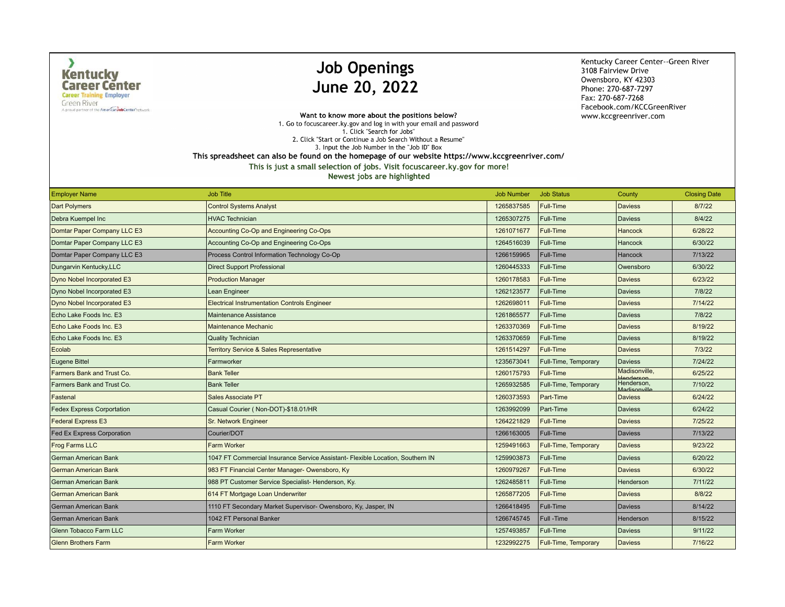$\lambda$ 

**Green River** A proud partner of the American Job Center hetwork

# **Job Openings** June 20, 2022

Kentucky Career Center--Green River 3108 Fairview Drive Owensboro, KY 42303 Phone: 270-687-7297 Fax: 270-687-7268 Facebook.com/KCCGreenRiver www.kccgreenriver.com

Want to know more about the positions below? 1. Go to focuscareer.ky.gov and log in with your email and password 1. Click "Search for Jobs" 2. Click "Start or Continue a Job Search Without a Resume" 3. Input the Job Number in the "Job ID" Box This spreadsheet can also be found on the homepage of our website https://www.kccgreenriver.com/

| <b>Employer Name</b>              | <b>Job Title</b>                                                               | <b>Job Number</b> | <b>Job Status</b>           | County                     | <b>Closing Date</b> |
|-----------------------------------|--------------------------------------------------------------------------------|-------------------|-----------------------------|----------------------------|---------------------|
| <b>Dart Polymers</b>              | <b>Control Systems Analyst</b>                                                 | 1265837585        | Full-Time                   | <b>Daviess</b>             | 8/7/22              |
| Debra Kuempel Inc                 | <b>HVAC Technician</b>                                                         | 1265307275        | Full-Time                   | Daviess                    | 8/4/22              |
| Domtar Paper Company LLC E3       | Accounting Co-Op and Engineering Co-Ops                                        | 1261071677        | <b>Full-Time</b>            | Hancock                    | 6/28/22             |
| Domtar Paper Company LLC E3       | Accounting Co-Op and Engineering Co-Ops                                        | 1264516039        | Full-Time                   | Hancock                    | 6/30/22             |
| Domtar Paper Company LLC E3       | Process Control Information Technology Co-Op                                   | 1266159965        | Full-Time                   | Hancock                    | 7/13/22             |
| Dungarvin Kentucky, LLC           | <b>Direct Support Professional</b>                                             | 1260445333        | Full-Time                   | Owensboro                  | 6/30/22             |
| Dyno Nobel Incorporated E3        | <b>Production Manager</b>                                                      | 1260178583        | Full-Time                   | <b>Daviess</b>             | 6/23/22             |
| Dyno Nobel Incorporated E3        | Lean Engineer                                                                  | 1262123577        | Full-Time                   | <b>Daviess</b>             | 7/8/22              |
| Dyno Nobel Incorporated E3        | <b>Electrical Instrumentation Controls Engineer</b>                            | 1262698011        | Full-Time                   | <b>Daviess</b>             | 7/14/22             |
| Echo Lake Foods Inc. E3           | <b>Maintenance Assistance</b>                                                  | 1261865577        | Full-Time                   | <b>Daviess</b>             | 7/8/22              |
| Echo Lake Foods Inc. E3           | <b>Maintenance Mechanic</b>                                                    | 1263370369        | Full-Time                   | <b>Daviess</b>             | 8/19/22             |
| Echo Lake Foods Inc. E3           | <b>Quality Technician</b>                                                      | 1263370659        | Full-Time                   | <b>Daviess</b>             | 8/19/22             |
| Ecolab                            | <b>Territory Service &amp; Sales Representative</b>                            | 1261514297        | Full-Time                   | <b>Daviess</b>             | 7/3/22              |
| <b>Eugene Bittel</b>              | Farmworker                                                                     | 1235673041        | Full-Time, Temporary        | <b>Daviess</b>             | 7/24/22             |
| Farmers Bank and Trust Co.        | <b>Bank Teller</b>                                                             | 1260175793        | Full-Time                   | Madisonville,              | 6/25/22             |
| Farmers Bank and Trust Co.        | <b>Bank Teller</b>                                                             | 1265932585        | Full-Time, Temporary        | Henderson,<br>Madisonville | 7/10/22             |
| Fastenal                          | Sales Associate PT                                                             | 1260373593        | Part-Time                   | Daviess                    | 6/24/22             |
| <b>Fedex Express Corportation</b> | Casual Courier (Non-DOT)-\$18.01/HR                                            | 1263992099        | Part-Time                   | <b>Daviess</b>             | 6/24/22             |
| <b>Federal Express E3</b>         | <b>Sr. Network Engineer</b>                                                    | 1264221829        | Full-Time                   | <b>Daviess</b>             | 7/25/22             |
| <b>Fed Ex Express Corporation</b> | Courier/DOT                                                                    | 1266163005        | Full-Time                   | <b>Daviess</b>             | 7/13/22             |
| Frog Farms LLC                    | <b>Farm Worker</b>                                                             | 1259491663        | Full-Time, Temporary        | <b>Daviess</b>             | 9/23/22             |
| German American Bank              | 1047 FT Commercial Insurance Service Assistant- Flexible Location, Southern IN | 1259903873        | Full-Time                   | <b>Daviess</b>             | 6/20/22             |
| <b>German American Bank</b>       | 983 FT Financial Center Manager-Owensboro, Ky                                  | 1260979267        | <b>Full-Time</b>            | <b>Daviess</b>             | 6/30/22             |
| German American Bank              | 988 PT Customer Service Specialist- Henderson, Ky.                             | 1262485811        | Full-Time                   | Henderson                  | 7/11/22             |
| <b>German American Bank</b>       | 614 FT Mortgage Loan Underwriter                                               | 1265877205        | <b>Full-Time</b>            | <b>Daviess</b>             | 8/8/22              |
| German American Bank              | 1110 FT Secondary Market Supervisor- Owensboro, Ky, Jasper, IN                 | 1266418495        | Full-Time                   | Daviess                    | 8/14/22             |
| German American Bank              | 1042 FT Personal Banker                                                        | 1266745745        | Full -Time                  | Henderson                  | 8/15/22             |
| Glenn Tobacco Farm LLC            | Farm Worker                                                                    | 1257493857        | Full-Time                   | <b>Daviess</b>             | 9/11/22             |
| <b>Glenn Brothers Farm</b>        | <b>Farm Worker</b>                                                             | 1232992275        | <b>Full-Time, Temporary</b> | <b>Daviess</b>             | 7/16/22             |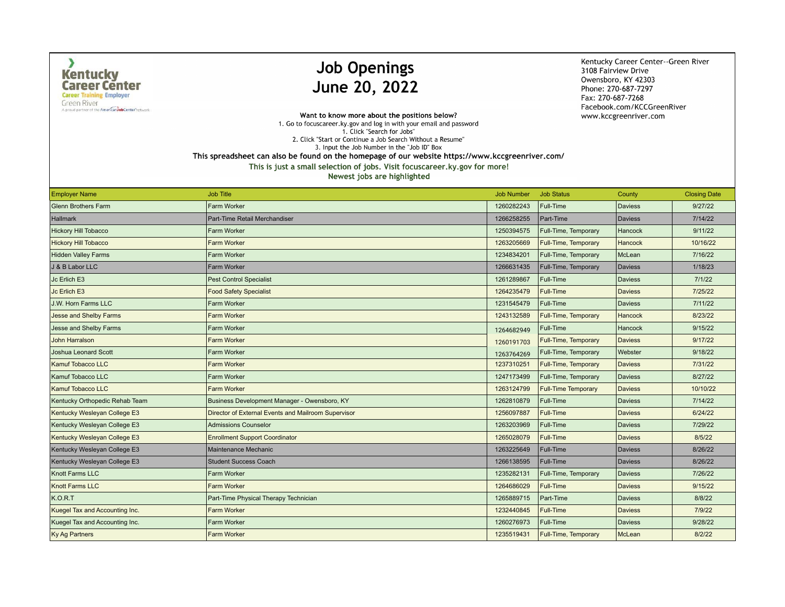$\lambda$ 

**Green River** A proud partner of the American Job Center hetwork

# **Job Openings** June 20, 2022

Kentucky Career Center--Green River 3108 Fairview Drive Owensboro, KY 42303 Phone: 270-687-7297 Fax: 270-687-7268 Facebook.com/KCCGreenRiver www.kccgreenriver.com

Want to know more about the positions below? 1. Go to focuscareer.ky.gov and log in with your email and password 1. Click "Search for Jobs" 2. Click "Start or Continue a Job Search Without a Resume" 3. Input the Job Number in the "Job ID" Box

This spreadsheet can also be found on the homepage of our website https://www.kccgreenriver.com/

| <b>Employer Name</b>           | <b>Job Title</b>                                    | <b>Job Number</b> | <b>Job Status</b>          | County         | <b>Closing Date</b> |
|--------------------------------|-----------------------------------------------------|-------------------|----------------------------|----------------|---------------------|
| <b>Glenn Brothers Farm</b>     | Farm Worker                                         | 1260282243        | Full-Time                  | <b>Daviess</b> | 9/27/22             |
| <b>Hallmark</b>                | Part-Time Retail Merchandiser                       | 1266258255        | Part-Time                  | <b>Daviess</b> | 7/14/22             |
| <b>Hickory Hill Tobacco</b>    | <b>Farm Worker</b>                                  | 1250394575        | Full-Time, Temporary       | Hancock        | 9/11/22             |
| <b>Hickory Hill Tobacco</b>    | <b>Farm Worker</b>                                  | 1263205669        | Full-Time, Temporary       | Hancock        | 10/16/22            |
| <b>Hidden Valley Farms</b>     | <b>Farm Worker</b>                                  | 1234834201        | Full-Time, Temporary       | McLean         | 7/16/22             |
| J & B Labor LLC                | Farm Worker                                         | 1266631435        | Full-Time, Temporary       | <b>Daviess</b> | 1/18/23             |
| Jc Erlich E3                   | <b>Pest Control Specialist</b>                      | 1261289867        | Full-Time                  | <b>Daviess</b> | 7/1/22              |
| Jc Erlich E3                   | <b>Food Safety Specialist</b>                       | 1264235479        | <b>Full-Time</b>           | <b>Daviess</b> | 7/25/22             |
| <b>J.W. Horn Farms LLC</b>     | Farm Worker                                         | 1231545479        | Full-Time                  | <b>Daviess</b> | 7/11/22             |
| <b>Jesse and Shelby Farms</b>  | <b>Farm Worker</b>                                  | 1243132589        | Full-Time, Temporary       | Hancock        | 8/23/22             |
| <b>Jesse and Shelby Farms</b>  | <b>Farm Worker</b>                                  | 1264682949        | Full-Time                  | Hancock        | 9/15/22             |
| <b>John Harralson</b>          | <b>Farm Worker</b>                                  | 1260191703        | Full-Time, Temporary       | <b>Daviess</b> | 9/17/22             |
| <b>Joshua Leonard Scott</b>    | Farm Worker                                         | 1263764269        | Full-Time, Temporary       | Webster        | 9/18/22             |
| <b>Kamuf Tobacco LLC</b>       | Farm Worker                                         | 1237310251        | Full-Time, Temporary       | <b>Daviess</b> | 7/31/22             |
| Kamuf Tobacco LLC              | <b>Farm Worker</b>                                  | 1247173499        | Full-Time, Temporary       | <b>Daviess</b> | 8/27/22             |
| <b>Kamuf Tobacco LLC</b>       | <b>Farm Worker</b>                                  | 1263124799        | <b>Full-Time Temporary</b> | <b>Daviess</b> | 10/10/22            |
| Kentucky Orthopedic Rehab Team | Business Development Manager - Owensboro, KY        | 1262810879        | Full-Time                  | <b>Daviess</b> | 7/14/22             |
| Kentucky Wesleyan College E3   | Director of External Events and Mailroom Supervisor | 1256097887        | <b>Full-Time</b>           | <b>Daviess</b> | 6/24/22             |
| Kentucky Wesleyan College E3   | <b>Admissions Counselor</b>                         | 1263203969        | Full-Time                  | <b>Daviess</b> | 7/29/22             |
| Kentucky Wesleyan College E3   | <b>Enrollment Support Coordinator</b>               | 1265028079        | <b>Full-Time</b>           | <b>Daviess</b> | 8/5/22              |
| Kentucky Wesleyan College E3   | Maintenance Mechanic                                | 1263225649        | Full-Time                  | <b>Daviess</b> | 8/26/22             |
| Kentucky Wesleyan College E3   | <b>Student Success Coach</b>                        | 1266138595        | Full-Time                  | <b>Daviess</b> | 8/26/22             |
| Knott Farms LLC                | <b>Farm Worker</b>                                  | 1235282131        | Full-Time, Temporary       | <b>Daviess</b> | 7/26/22             |
| <b>Knott Farms LLC</b>         | <b>Farm Worker</b>                                  | 1264686029        | <b>Full-Time</b>           | <b>Daviess</b> | 9/15/22             |
| K.O.R.T                        | Part-Time Physical Therapy Technician               | 1265889715        | Part-Time                  | <b>Daviess</b> | 8/8/22              |
| Kuegel Tax and Accounting Inc. | Farm Worker                                         | 1232440845        | <b>Full-Time</b>           | <b>Daviess</b> | 7/9/22              |
| Kuegel Tax and Accounting Inc. | <b>Farm Worker</b>                                  | 1260276973        | <b>Full-Time</b>           | <b>Daviess</b> | 9/28/22             |
| <b>Ky Ag Partners</b>          | <b>Farm Worker</b>                                  | 1235519431        | Full-Time, Temporary       | McLean         | 8/2/22              |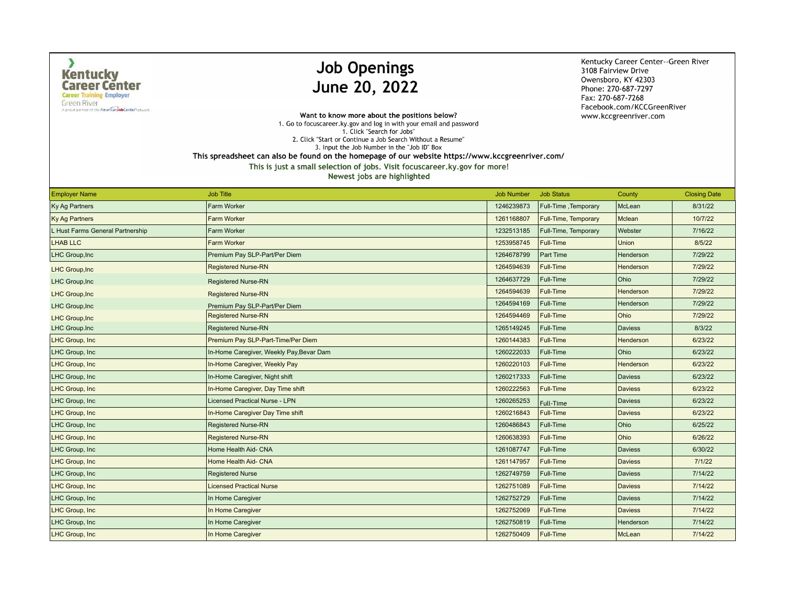$\lambda$ 

A proud partner of the American Job Center hetwork

## **Job Openings** June 20, 2022

Kentucky Career Center--Green River 3108 Fairview Drive Owensboro, KY 42303 Phone: 270-687-7297 Fax: 270-687-7268 Facebook.com/KCCGreenRiver www.kccgreenriver.com

Want to know more about the positions below? 1. Go to focuscareer.ky.gov and log in with your email and password 1. Click "Search for Jobs" 2. Click "Start or Continue a Job Search Without a Resume" 3. Input the Job Number in the "Job ID" Box

This spreadsheet can also be found on the homepage of our website https://www.kccgreenriver.com/

This is just a small selection of jobs. Visit focuscareer.ky.gov for more!

| <b>Employer Name</b>             | <b>Job Title</b>                         | <b>Job Number</b> | <b>Job Status</b>    | County         | <b>Closing Date</b> |
|----------------------------------|------------------------------------------|-------------------|----------------------|----------------|---------------------|
| Ky Ag Partners                   | Farm Worker                              | 1246239873        | Full-Time, Temporary | McLean         | 8/31/22             |
| <b>Ky Ag Partners</b>            | Farm Worker                              | 1261168807        | Full-Time, Temporary | Mclean         | 10/7/22             |
| L Hust Farms General Partnership | Farm Worker                              | 1232513185        | Full-Time, Temporary | Webster        | 7/16/22             |
| <b>LHAB LLC</b>                  | <b>Farm Worker</b>                       | 1253958745        | Full-Time            | Union          | 8/5/22              |
| LHC Group, Inc                   | Premium Pay SLP-Part/Per Diem            | 1264678799        | <b>Part Time</b>     | Henderson      | 7/29/22             |
| <b>LHC Group, Inc.</b>           | <b>Registered Nurse-RN</b>               | 1264594639        | Full-Time            | Henderson      | 7/29/22             |
| LHC Group, Inc                   | <b>Registered Nurse-RN</b>               | 1264637729        | Full-Time            | Ohio           | 7/29/22             |
| LHC Group, Inc                   | <b>Registered Nurse-RN</b>               | 1264594639        | Full-Time            | Henderson      | 7/29/22             |
| LHC Group, Inc                   | Premium Pay SLP-Part/Per Diem            | 1264594169        | Full-Time            | Henderson      | 7/29/22             |
| LHC Group, Inc                   | <b>Registered Nurse-RN</b>               | 1264594469        | Full-Time            | Ohio           | 7/29/22             |
| <b>LHC Group.Inc</b>             | <b>Registered Nurse-RN</b>               | 1265149245        | Full-Time            | Daviess        | 8/3/22              |
| LHC Group, Inc                   | Premium Pay SLP-Part-Time/Per Diem       | 1260144383        | Full-Time            | Henderson      | 6/23/22             |
| LHC Group, Inc                   | In-Home Caregiver, Weekly Pay, Bevar Dam | 1260222033        | Full-Time            | Ohio           | 6/23/22             |
| LHC Group, Inc                   | In-Home Caregiver, Weekly Pay            | 1260220103        | Full-Time            | Henderson      | 6/23/22             |
| LHC Group, Inc                   | In-Home Caregiver, Night shift           | 1260217333        | Full-Time            | <b>Daviess</b> | 6/23/22             |
| LHC Group, Inc                   | In-Home Caregiver, Day Time shift        | 1260222563        | Full-Time            | <b>Daviess</b> | 6/23/22             |
| LHC Group, Inc                   | Licensed Practical Nurse - LPN           | 1260265253        | Full-Time            | Daviess        | 6/23/22             |
| LHC Group, Inc                   | In-Home Caregiver Day Time shift         | 1260216843        | Full-Time            | Daviess        | 6/23/22             |
| LHC Group, Inc                   | <b>Registered Nurse-RN</b>               | 1260486843        | Full-Time            | Ohio           | 6/25/22             |
| LHC Group, Inc                   | <b>Registered Nurse-RN</b>               | 1260638393        | Full-Time            | Ohio           | 6/26/22             |
| LHC Group, Inc                   | Home Health Aid- CNA                     | 1261087747        | Full-Time            | <b>Daviess</b> | 6/30/22             |
| LHC Group, Inc                   | Home Health Aid- CNA                     | 1261147957        | Full-Time            | <b>Daviess</b> | 7/1/22              |
| LHC Group, Inc                   | <b>Registered Nurse</b>                  | 1262749759        | Full-Time            | Daviess        | 7/14/22             |
| LHC Group, Inc                   | <b>Licensed Practical Nurse</b>          | 1262751089        | Full-Time            | <b>Daviess</b> | 7/14/22             |
| LHC Group, Inc                   | In Home Caregiver                        | 1262752729        | Full-Time            | Daviess        | 7/14/22             |
| LHC Group, Inc.                  | In Home Caregiver                        | 1262752069        | <b>Full-Time</b>     | <b>Daviess</b> | 7/14/22             |
| LHC Group, Inc                   | In Home Caregiver                        | 1262750819        | Full-Time            | Henderson      | 7/14/22             |
| LHC Group, Inc                   | In Home Caregiver                        | 1262750409        | Full-Time            | McLean         | 7/14/22             |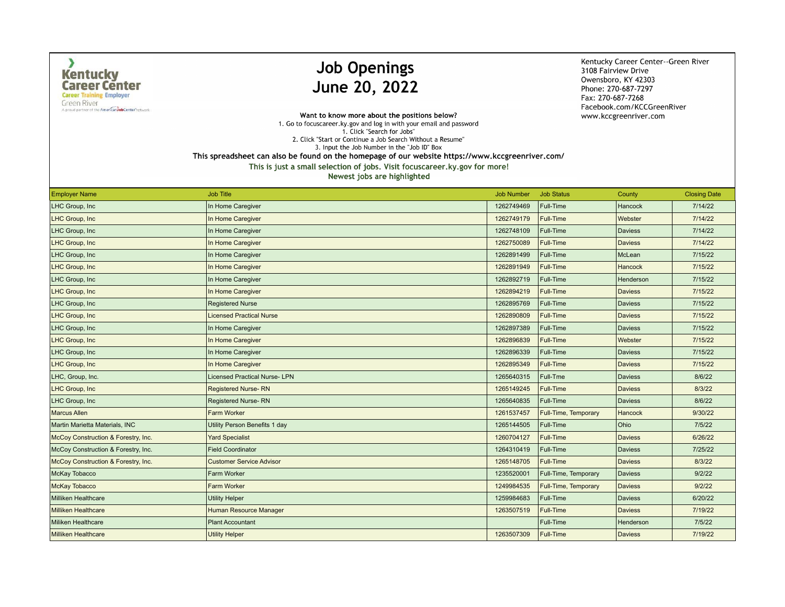$\lambda$ 

**Green River** A proud partner of the American Job Center hetwork

# **Job Openings** June 20, 2022

Kentucky Career Center--Green River 3108 Fairview Drive Owensboro, KY 42303 Phone: 270-687-7297 Fax: 270-687-7268 Facebook.com/KCCGreenRiver www.kccgreenriver.com

Want to know more about the positions below? 1. Go to focuscareer.ky.gov and log in with your email and password 1. Click "Search for Jobs" 2. Click "Start or Continue a Job Search Without a Resume" 3. Input the Job Number in the "Job ID" Box

This spreadsheet can also be found on the homepage of our website https://www.kccgreenriver.com/

This is just a small selection of jobs. Visit focuscareer.ky.gov for more!

| <b>Employer Name</b>                | <b>Job Title</b>                    | <b>Job Number</b> | <b>Job Status</b>    | County         | <b>Closing Date</b> |
|-------------------------------------|-------------------------------------|-------------------|----------------------|----------------|---------------------|
| LHC Group, Inc                      | In Home Caregiver                   | 1262749469        | Full-Time            | <b>Hancock</b> | 7/14/22             |
| LHC Group, Inc.                     | In Home Caregiver                   | 1262749179        | Full-Time            | Webster        | 7/14/22             |
| LHC Group, Inc.                     | In Home Caregiver                   | 1262748109        | Full-Time            | <b>Daviess</b> | 7/14/22             |
| LHC Group, Inc                      | In Home Caregiver                   | 1262750089        | <b>Full-Time</b>     | <b>Daviess</b> | 7/14/22             |
| LHC Group, Inc                      | In Home Caregiver                   | 1262891499        | Full-Time            | McLean         | 7/15/22             |
| LHC Group, Inc.                     | In Home Caregiver                   | 1262891949        | <b>Full-Time</b>     | <b>Hancock</b> | 7/15/22             |
| LHC Group, Inc.                     | In Home Caregiver                   | 1262892719        | Full-Time            | Henderson      | 7/15/22             |
| LHC Group, Inc                      | In Home Caregiver                   | 1262894219        | Full-Time            | <b>Daviess</b> | 7/15/22             |
| LHC Group, Inc                      | <b>Registered Nurse</b>             | 1262895769        | Full-Time            | <b>Daviess</b> | 7/15/22             |
| LHC Group, Inc                      | <b>Licensed Practical Nurse</b>     | 1262890809        | Full-Time            | <b>Daviess</b> | 7/15/22             |
| LHC Group, Inc                      | In Home Caregiver                   | 1262897389        | Full-Time            | <b>Daviess</b> | 7/15/22             |
| LHC Group, Inc.                     | In Home Caregiver                   | 1262896839        | Full-Time            | Webster        | 7/15/22             |
| LHC Group, Inc.                     | In Home Caregiver                   | 1262896339        | Full-Time            | <b>Daviess</b> | 7/15/22             |
| LHC Group, Inc.                     | In Home Caregiver                   | 1262895349        | Full-Time            | <b>Daviess</b> | 7/15/22             |
| LHC, Group, Inc.                    | <b>Licensed Practical Nurse-LPN</b> | 1265640315        | Full-Tme             | <b>Daviess</b> | 8/6/22              |
| LHC Group, Inc                      | Registered Nurse-RN                 | 1265149245        | Full-Time            | <b>Daviess</b> | 8/3/22              |
| LHC Group, Inc                      | <b>Registered Nurse-RN</b>          | 1265640835        | Full-Time            | Daviess        | 8/6/22              |
| <b>Marcus Allen</b>                 | <b>Farm Worker</b>                  | 1261537457        | Full-Time, Temporary | <b>Hancock</b> | 9/30/22             |
| Martin Marietta Materials, INC      | Utility Person Benefits 1 day       | 1265144505        | Full-Time            | Ohio           | 7/5/22              |
| McCoy Construction & Forestry, Inc. | <b>Yard Specialist</b>              | 1260704127        | Full-Time            | <b>Daviess</b> | 6/26/22             |
| McCoy Construction & Forestry, Inc. | <b>Field Coordinator</b>            | 1264310419        | Full-Time            | <b>Daviess</b> | 7/25/22             |
| McCoy Construction & Forestry, Inc. | <b>Customer Service Advisor</b>     | 1265148705        | Full-Time            | <b>Daviess</b> | 8/3/22              |
| McKay Tobacco                       | Farm Worker                         | 1235520001        | Full-Time, Temporary | <b>Daviess</b> | 9/2/22              |
| <b>McKay Tobacco</b>                | <b>Farm Worker</b>                  | 1249984535        | Full-Time, Temporary | <b>Daviess</b> | 9/2/22              |
| Milliken Healthcare                 | <b>Utility Helper</b>               | 1259984683        | Full-Time            | <b>Daviess</b> | 6/20/22             |
| <b>Milliken Healthcare</b>          | <b>Human Resource Manager</b>       | 1263507519        | <b>Full-Time</b>     | <b>Daviess</b> | 7/19/22             |
| <b>Miliken Healthcare</b>           | <b>Plant Accountant</b>             |                   | Full-Time            | Henderson      | 7/5/22              |
| Milliken Healthcare                 | <b>Utility Helper</b>               | 1263507309        | Full-Time            | Daviess        | 7/19/22             |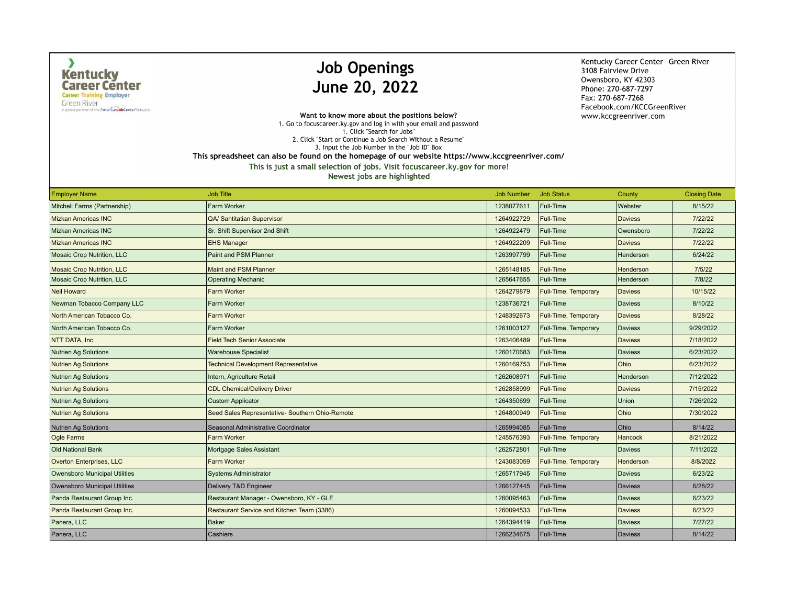$\lambda$ 

**Green River** A proud partner of the American Job Center hetwork

# **Job Openings** June 20, 2022

Kentucky Career Center--Green River 3108 Fairview Drive Owensboro, KY 42303 Phone: 270-687-7297 Fax: 270-687-7268 Facebook.com/KCCGreenRiver www.kccgreenriver.com

Want to know more about the positions below? 1. Go to focuscareer.ky.gov and log in with your email and password 1. Click "Search for Jobs" 2. Click "Start or Continue a Job Search Without a Resume" 3. Input the Job Number in the "Job ID" Box

This spreadsheet can also be found on the homepage of our website https://www.kccgreenriver.com/

| <b>Employer Name</b>                 | <b>Job Title</b>                                | <b>Job Number</b> | <b>Job Status</b>    | County         | <b>Closing Date</b> |
|--------------------------------------|-------------------------------------------------|-------------------|----------------------|----------------|---------------------|
| Mitchell Farms (Partnership)         | Farm Worker                                     | 1238077611        | Full-Time            | Webster        | 8/15/22             |
| <b>Mizkan Americas INC</b>           | <b>QA/ Santitatian Supervisor</b>               | 1264922729        | Full-Time            | <b>Daviess</b> | 7/22/22             |
| <b>Mizkan Americas INC</b>           | Sr. Shift Supervisor 2nd Shift                  | 1264922479        | Full-Time            | Owensboro      | 7/22/22             |
| <b>Mizkan Americas INC</b>           | <b>EHS Manager</b>                              | 1264922209        | <b>Full-Time</b>     | <b>Daviess</b> | 7/22/22             |
| Mosaic Crop Nutrition, LLC           | Paint and PSM Planner                           | 1263997799        | Full-Time            | Henderson      | 6/24/22             |
| <b>Mosaic Crop Nutrition, LLC</b>    | <b>Maint and PSM Planner</b>                    | 1265148185        | <b>Full-Time</b>     | Henderson      | 7/5/22              |
| Mosaic Crop Nutrition, LLC           | <b>Operating Mechanic</b>                       | 1265647655        | Full-Time            | Henderson      | 7/8/22              |
| <b>Neil Howard</b>                   | <b>Farm Worker</b>                              | 1264279879        | Full-Time, Temporary | <b>Daviess</b> | 10/15/22            |
| Newman Tobacco Company LLC           | Farm Worker                                     | 1238736721        | Full-Time            | <b>Daviess</b> | 8/10/22             |
| North American Tobacco Co.           | <b>Farm Worker</b>                              | 1248392673        | Full-Time, Temporary | <b>Daviess</b> | 8/28/22             |
| North American Tobacco Co.           | Farm Worker                                     | 1261003127        | Full-Time, Temporary | <b>Daviess</b> | 9/29/2022           |
| NTT DATA, Inc.                       | <b>Field Tech Senior Associate</b>              | 1263406489        | <b>Full-Time</b>     | <b>Daviess</b> | 7/18/2022           |
| Nutrien Ag Solutions                 | <b>Warehouse Specialist</b>                     | 1260170683        | Full-Time            | <b>Daviess</b> | 6/23/2022           |
| <b>Nutrien Ag Solutions</b>          | <b>Technical Development Representative</b>     | 1260169753        | <b>Full-Time</b>     | Ohio           | 6/23/2022           |
| Nutrien Ag Solutions                 | Intern, Agriculture Retail                      | 1262608971        | Full-Time            | Henderson      | 7/12/2022           |
| <b>Nutrien Ag Solutions</b>          | <b>CDL Chemical/Delivery Driver</b>             | 1262858999        | Full-Time            | <b>Daviess</b> | 7/15/2022           |
| <b>Nutrien Ag Solutions</b>          | <b>Custom Applicator</b>                        | 1264350699        | Full-Time            | Union          | 7/26/2022           |
| <b>Nutrien Ag Solutions</b>          | Seed Sales Representative- Southern Ohio-Remote | 1264800949        | <b>Full-Time</b>     | Ohio           | 7/30/2022           |
| Nutrien Ag Solutions                 | Seasonal Administrative Coordinator             | 1265994085        | Full-Time            | Ohio           | 8/14/22             |
| <b>Ogle Farms</b>                    | <b>Farm Worker</b>                              | 1245576393        | Full-Time, Temporary | Hancock        | 8/21/2022           |
| <b>Old National Bank</b>             | Mortgage Sales Assistant                        | 1262572801        | Full-Time            | <b>Daviess</b> | 7/11/2022           |
| Overton Enterprises, LLC             | <b>Farm Worker</b>                              | 1243083059        | Full-Time, Temporary | Henderson      | 8/8/2022            |
| <b>Owensboro Municipal Utilities</b> | <b>Systems Administrator</b>                    | 1265717945        | Full-Time            | <b>Daviess</b> | 6/23/22             |
| Owensboro Municipal Utilities        | Delivery T&D Engineer                           | 1266127445        | Full-Time            | <b>Daviess</b> | 6/28/22             |
| Panda Restaurant Group Inc.          | Restaurant Manager - Owensboro, KY - GLE        | 1260095463        | Full-Time            | <b>Daviess</b> | 6/23/22             |
| Panda Restaurant Group Inc.          | Restaurant Service and Kitchen Team (3386)      | 1260094533        | Full-Time            | <b>Daviess</b> | 6/23/22             |
| Panera, LLC                          | <b>Baker</b>                                    | 1264394419        | Full-Time            | <b>Daviess</b> | 7/27/22             |
| Panera, LLC                          | Cashiers                                        | 1266234675        | Full-Time            | <b>Daviess</b> | 8/14/22             |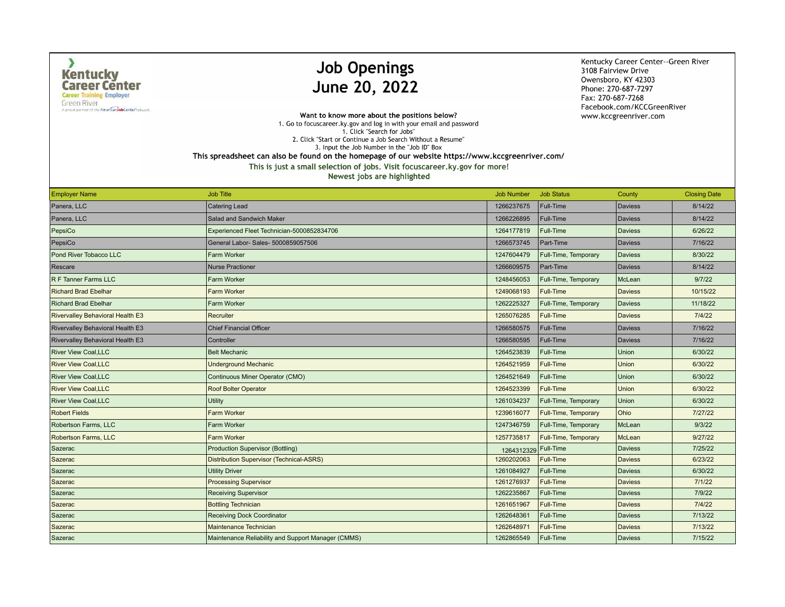$\lambda$ 

A proud partner of the American Job Center hetwork

### **Job Openings** June 20, 2022

Kentucky Career Center--Green River 3108 Fairview Drive Owensboro, KY 42303 Phone: 270-687-7297 Fax: 270-687-7268 Facebook.com/KCCGreenRiver www.kccgreenriver.com

Want to know more about the positions below? 1. Go to focuscareer.ky.gov and log in with your email and password 1. Click "Search for Jobs" 2. Click "Start or Continue a Job Search Without a Resume" 3. Input the Job Number in the "Job ID" Box

This spreadsheet can also be found on the homepage of our website https://www.kccgreenriver.com/

This is just a small selection of jobs. Visit focuscareer.ky.gov for more!

| <b>Employer Name</b>             | <b>Job Title</b>                                   | <b>Job Number</b> | <b>Job Status</b>    | County         | <b>Closing Date</b> |
|----------------------------------|----------------------------------------------------|-------------------|----------------------|----------------|---------------------|
| Panera, LLC                      | <b>Catering Lead</b>                               | 1266237675        | Full-Time            | <b>Daviess</b> | 8/14/22             |
| Panera, LLC                      | Salad and Sandwich Maker                           | 1266226895        | Full-Time            | Daviess        | 8/14/22             |
| PepsiCo                          | Experienced Fleet Technician-5000852834706         | 1264177819        | Full-Time            | <b>Daviess</b> | 6/26/22             |
| PepsiCo                          | General Labor- Sales- 5000859057506                | 1266573745        | Part-Time            | Daviess        | 7/16/22             |
| Pond River Tobacco LLC           | Farm Worker                                        | 1247604479        | Full-Time, Temporary | <b>Daviess</b> | 8/30/22             |
| Rescare                          | <b>Nurse Practioner</b>                            | 1266609575        | Part-Time            | Daviess        | 8/14/22             |
| R F Tanner Farms LLC             | Farm Worker                                        | 1248456053        | Full-Time, Temporary | McLean         | 9/7/22              |
| <b>Richard Brad Ebelhar</b>      | <b>Farm Worker</b>                                 | 1249068193        | Full-Time            | <b>Daviess</b> | 10/15/22            |
| <b>Richard Brad Ebelhar</b>      | <b>Farm Worker</b>                                 | 1262225327        | Full-Time, Temporary | <b>Daviess</b> | 11/18/22            |
| Rivervalley Behavioral Health E3 | Recruiter                                          | 1265076285        | Full-Time            | <b>Daviess</b> | 7/4/22              |
| Rivervalley Behavioral Health E3 | <b>Chief Financial Officer</b>                     | 1266580575        | Full-Time            | Daviess        | 7/16/22             |
| Rivervalley Behavioral Health E3 | Controller                                         | 1266580595        | Full-Time            | <b>Daviess</b> | 7/16/22             |
| <b>River View Coal, LLC</b>      | <b>Belt Mechanic</b>                               | 1264523839        | Full-Time            | Union          | 6/30/22             |
| <b>River View Coal.LLC</b>       | <b>Underground Mechanic</b>                        | 1264521959        | Full-Time            | <b>Union</b>   | 6/30/22             |
| <b>River View Coal, LLC</b>      | Continuous Miner Operator (CMO)                    | 1264521649        | Full-Time            | Union          | 6/30/22             |
| <b>River View Coal, LLC</b>      | <b>Roof Bolter Operator</b>                        | 1264523399        | Full-Time            | <b>Union</b>   | 6/30/22             |
| <b>River View Coal.LLC</b>       | Utility                                            | 1261034237        | Full-Time, Temporary | Union          | 6/30/22             |
| <b>Robert Fields</b>             | <b>Farm Worker</b>                                 | 1239616077        | Full-Time, Temporary | Ohio           | 7/27/22             |
| Robertson Farms, LLC             | Farm Worker                                        | 1247346759        | Full-Time, Temporary | McLean         | 9/3/22              |
| Robertson Farms, LLC             | <b>Farm Worker</b>                                 | 1257735817        | Full-Time, Temporary | McLean         | 9/27/22             |
| Sazerac                          | Production Supervisor (Bottling)                   | 1264312329        | Full-Time            | <b>Daviess</b> | 7/25/22             |
| Sazerac                          | Distribution Supervisor (Technical-ASRS)           | 1260202063        | Full-Time            | <b>Daviess</b> | 6/23/22             |
| Sazerac                          | <b>Utility Driver</b>                              | 1261084927        | Full-Time            | <b>Daviess</b> | 6/30/22             |
| Sazerac                          | <b>Processing Supervisor</b>                       | 1261276937        | <b>Full-Time</b>     | <b>Daviess</b> | 7/1/22              |
| Sazerac                          | <b>Receiving Supervisor</b>                        | 1262235867        | Full-Time            | <b>Daviess</b> | 7/9/22              |
| Sazerac                          | <b>Bottling Technician</b>                         | 1261651967        | Full-Time            | <b>Daviess</b> | 7/4/22              |
| Sazerac                          | <b>Receiving Dock Coordinator</b>                  | 1262648361        | Full-Time            | <b>Daviess</b> | 7/13/22             |
| Sazerac                          | Maintenance Technician                             | 1262648971        | <b>Full-Time</b>     | <b>Daviess</b> | 7/13/22             |
| Sazerac                          | Maintenance Reliability and Support Manager (CMMS) | 1262865549        | Full-Time            | <b>Daviess</b> | 7/15/22             |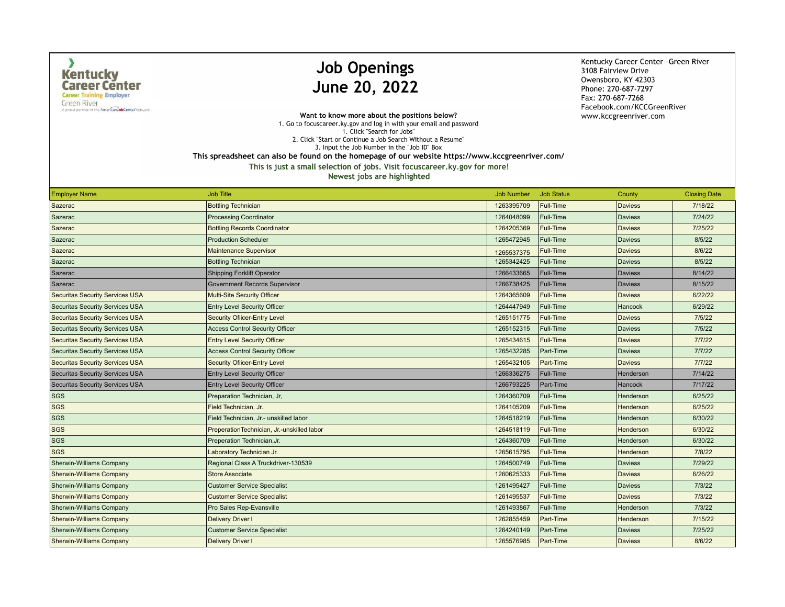$\lambda$ 

**Green River** A proud partner of the American Job Center hetwork

# **Job Openings** June 20, 2022

Kentucky Career Center--Green River 3108 Fairview Drive Owensboro, KY 42303 Phone: 270-687-7297 Fax: 270-687-7268 Facebook.com/KCCGreenRiver www.kccgreenriver.com

Want to know more about the positions below? 1. Go to focuscareer.ky.gov and log in with your email and password 1. Click "Search for Jobs" 2. Click "Start or Continue a Job Search Without a Resume" 3. Input the Job Number in the "Job ID" Box This spreadsheet can also be found on the homepage of our website https://www.kccgreenriver.com/

| <b>Employer Name</b>                   | <b>Job Title</b>                           | <b>Job Number</b> | <b>Job Status</b> | County         | <b>Closing Date</b> |
|----------------------------------------|--------------------------------------------|-------------------|-------------------|----------------|---------------------|
| Sazerac                                | <b>Bottling Technician</b>                 | 1263395709        | Full-Time         | <b>Daviess</b> | 7/18/22             |
| Sazerac                                | <b>Processing Coordinator</b>              | 1264048099        | <b>Full-Time</b>  | <b>Daviess</b> | 7/24/22             |
| Sazerac                                | <b>Bottling Records Coordinator</b>        | 1264205369        | Full-Time         | <b>Daviess</b> | 7/25/22             |
| Sazerac                                | <b>Production Scheduler</b>                | 1265472945        | Full-Time         | <b>Daviess</b> | 8/5/22              |
| Sazerac                                | <b>Maintenance Supervisor</b>              | 1265537375        | Full-Time         | <b>Daviess</b> | 8/6/22              |
| Sazerac                                | <b>Bottling Technician</b>                 | 1265342425        | Full-Time         | <b>Daviess</b> | 8/5/22              |
| Sazerac                                | <b>Shipping Forklift Operator</b>          | 1266433665        | Full-Time         | <b>Daviess</b> | 8/14/22             |
| Sazerac                                | Government Records Supervisor              | 1266738425        | Full-Time         | <b>Daviess</b> | 8/15/22             |
| <b>Securitas Security Services USA</b> | <b>Multi-Site Security Officer</b>         | 1264365609        | Full-Time         | <b>Daviess</b> | 6/22/22             |
| Securitas Security Services USA        | <b>Entry Level Security Officer</b>        | 1264447949        | Full-Time         | <b>Hancock</b> | 6/29/22             |
| <b>Securitas Security Services USA</b> | <b>Security Ofiicer-Entry Level</b>        | 1265151775        | <b>Full-Time</b>  | <b>Daviess</b> | 7/5/22              |
| <b>Securitas Security Services USA</b> | <b>Access Control Security Officer</b>     | 1265152315        | <b>Full-Time</b>  | <b>Daviess</b> | 7/5/22              |
| <b>Securitas Security Services USA</b> | <b>Entry Level Security Officer</b>        | 1265434615        | <b>Full-Time</b>  | <b>Daviess</b> | 7/7/22              |
| <b>Securitas Security Services USA</b> | <b>Access Control Security Officer</b>     | 1265432285        | Part-Time         | <b>Daviess</b> | 7/7/22              |
| <b>Securitas Security Services USA</b> | <b>Security Ofiicer-Entry Level</b>        | 1265432105        | Part-Time         | <b>Daviess</b> | 7/7/22              |
| Securitas Security Services USA        | <b>Entry Level Security Officer</b>        | 1266336275        | Full-Time         | Henderson      | 7/14/22             |
| Securitas Security Services USA        | <b>Entry Level Security Officer</b>        | 1266793225        | Part-Time         | Hancock        | 7/17/22             |
| <b>SGS</b>                             | Preparation Technician, Jr,                | 1264360709        | Full-Time         | Henderson      | 6/25/22             |
| <b>SGS</b>                             | Field Technician, Jr.                      | 1264105209        | <b>Full-Time</b>  | Henderson      | 6/25/22             |
| <b>SGS</b>                             | Field Technician, Jr.- unskilled labor     | 1264518219        | Full-Time         | Henderson      | 6/30/22             |
| <b>SGS</b>                             | PreperationTechnician, Jr.-unskilled labor | 1264518119        | Full-Time         | Henderson      | 6/30/22             |
| <b>SGS</b>                             | Preperation Technician, Jr.                | 1264360709        | Full-Time         | Henderson      | 6/30/22             |
| <b>SGS</b>                             | Laboratory Technician Jr.                  | 1265615795        | <b>Full-Time</b>  | Henderson      | 7/8/22              |
| <b>Sherwin-Williams Company</b>        | Regional Class A Truckdriver-130539        | 1264500749        | Full-Time         | <b>Daviess</b> | 7/29/22             |
| <b>Sherwin-Williams Company</b>        | <b>Store Associate</b>                     | 1260625333        | <b>Full-Time</b>  | <b>Daviess</b> | 6/26/22             |
| <b>Sherwin-Williams Company</b>        | <b>Customer Service Specialist</b>         | 1261495427        | Full-Time         | <b>Daviess</b> | 7/3/22              |
| <b>Sherwin-Williams Company</b>        | <b>Customer Service Specialist</b>         | 1261495537        | Full-Time         | <b>Daviess</b> | 7/3/22              |
| <b>Sherwin-Williams Company</b>        | Pro Sales Rep-Evansville                   | 1261493867        | Full-Time         | Henderson      | 7/3/22              |
| <b>Sherwin-Williams Company</b>        | <b>Delivery Driver I</b>                   | 1262855459        | Part-Time         | Henderson      | 7/15/22             |
| <b>Sherwin-Williams Company</b>        | <b>Customer Service Specialist</b>         | 1264240149        | Part-Time         | <b>Daviess</b> | 7/25/22             |
| <b>Sherwin-Williams Company</b>        | <b>Delivery Driver I</b>                   | 1265576985        | Part-Time         | Daviess        | 8/6/22              |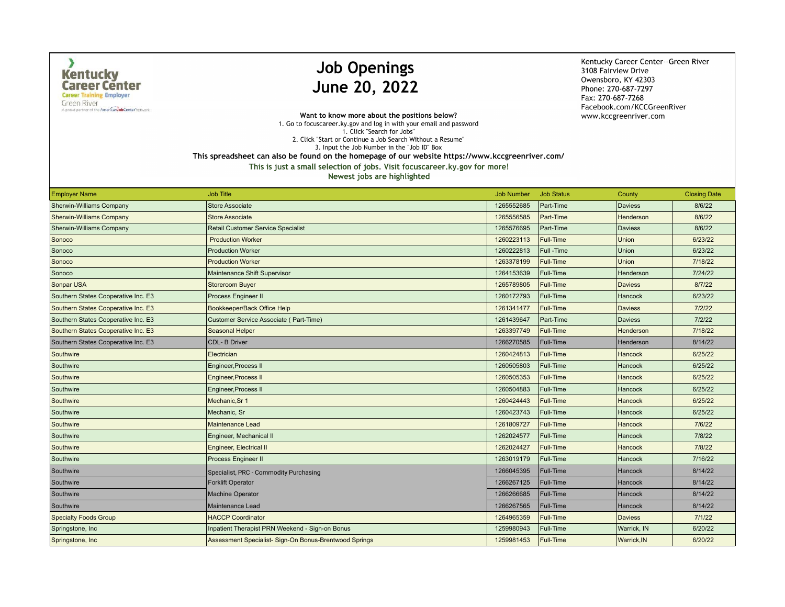$\lambda$ 

A proud partner of the American Job Center hetwork

## **Job Openings** June 20, 2022

Kentucky Career Center--Green River 3108 Fairview Drive Owensboro, KY 42303 Phone: 270-687-7297 Fax: 270-687-7268 Facebook.com/KCCGreenRiver www.kccgreenriver.com

Want to know more about the positions below? 1. Go to focuscareer.ky.gov and log in with your email and password 1. Click "Search for Jobs" 2. Click "Start or Continue a Job Search Without a Resume" 3. Input the Job Number in the "Job ID" Box This spreadsheet can also be found on the homepage of our website https://www.kccgreenriver.com/

This is just a small selection of jobs. Visit focuscareer.ky.gov for more!

| <b>Employer Name</b>                | <b>Job Title</b>                                       | <b>Job Number</b> | <b>Job Status</b> | County             | <b>Closing Date</b> |
|-------------------------------------|--------------------------------------------------------|-------------------|-------------------|--------------------|---------------------|
| <b>Sherwin-Williams Company</b>     | <b>Store Associate</b>                                 | 1265552685        | Part-Time         | <b>Daviess</b>     | 8/6/22              |
| <b>Sherwin-Williams Company</b>     | <b>Store Associate</b>                                 | 1265556585        | Part-Time         | <b>Henderson</b>   | 8/6/22              |
| Sherwin-Williams Company            | Retail Customer Service Specialist                     | 1265576695        | Part-Time         | <b>Daviess</b>     | 8/6/22              |
| Sonoco                              | <b>Production Worker</b>                               | 1260223113        | Full-Time         | Union              | 6/23/22             |
| Sonoco                              | <b>Production Worker</b>                               | 1260222813        | Full -Time        | Union              | 6/23/22             |
| Sonoco                              | <b>Production Worker</b>                               | 1263378199        | Full-Time         | Union              | 7/18/22             |
| Sonoco                              | Maintenance Shift Supervisor                           | 1264153639        | Full-Time         | Henderson          | 7/24/22             |
| Sonpar USA                          | <b>Storeroom Buyer</b>                                 | 1265789805        | Full-Time         | <b>Daviess</b>     | 8/7/22              |
| Southern States Cooperative Inc. E3 | Process Engineer II                                    | 1260172793        | Full-Time         | <b>Hancock</b>     | 6/23/22             |
| Southern States Cooperative Inc. E3 | Bookkeeper/Back Office Help                            | 1261341477        | Full-Time         | <b>Daviess</b>     | 7/2/22              |
| Southern States Cooperative Inc. E3 | Customer Service Associate (Part-Time)                 | 1261439647        | Part-Time         | <b>Daviess</b>     | 7/2/22              |
| Southern States Cooperative Inc. E3 | Seasonal Helper                                        | 1263397749        | Full-Time         | Henderson          | 7/18/22             |
| Southern States Cooperative Inc. E3 | CDL- B Driver                                          | 1266270585        | Full-Time         | Henderson          | 8/14/22             |
| Southwire                           | Electrician                                            | 1260424813        | Full-Time         | <b>Hancock</b>     | 6/25/22             |
| Southwire                           | Engineer, Process II                                   | 1260505803        | Full-Time         | Hancock            | 6/25/22             |
| Southwire                           | <b>Engineer, Process II</b>                            | 1260505353        | <b>Full-Time</b>  | <b>Hancock</b>     | 6/25/22             |
| Southwire                           | Engineer, Process II                                   | 1260504883        | Full-Time         | Hancock            | 6/25/22             |
| Southwire                           | Mechanic, Sr 1                                         | 1260424443        | Full-Time         | <b>Hancock</b>     | 6/25/22             |
| Southwire                           | Mechanic, Sr                                           | 1260423743        | Full-Time         | Hancock            | 6/25/22             |
| Southwire                           | <b>Maintenance Lead</b>                                | 1261809727        | <b>Full-Time</b>  | <b>Hancock</b>     | 7/6/22              |
| Southwire                           | Engineer, Mechanical II                                | 1262024577        | Full-Time         | Hancock            | 7/8/22              |
| Southwire                           | Engineer, Electrical II                                | 1262024427        | Full-Time         | <b>Hancock</b>     | 7/8/22              |
| Southwire                           | Process Engineer II                                    | 1263019179        | Full-Time         | Hancock            | 7/16/22             |
| Southwire                           | Specialist, PRC - Commodity Purchasing                 | 1266045395        | Full-Time         | <b>Hancock</b>     | 8/14/22             |
| Southwire                           | <b>Forklift Operator</b>                               | 1266267125        | Full-Time         | Hancock            | 8/14/22             |
| Southwire                           | <b>Machine Operator</b>                                | 1266266685        | Full-Time         | Hancock            | 8/14/22             |
| Southwire                           | Maintenance Lead                                       | 1266267565        | Full-Time         | Hancock            | 8/14/22             |
| <b>Specialty Foods Group</b>        | <b>HACCP Coordinator</b>                               | 1264965359        | Full-Time         | <b>Daviess</b>     | 7/1/22              |
| Springstone, Inc.                   | Inpatient Therapist PRN Weekend - Sign-on Bonus        | 1259980943        | Full-Time         | Warrick, IN        | 6/20/22             |
| Springstone, Inc.                   | Assessment Specialist- Sign-On Bonus-Brentwood Springs | 1259981453        | <b>Full-Time</b>  | <b>Warrick, IN</b> | 6/20/22             |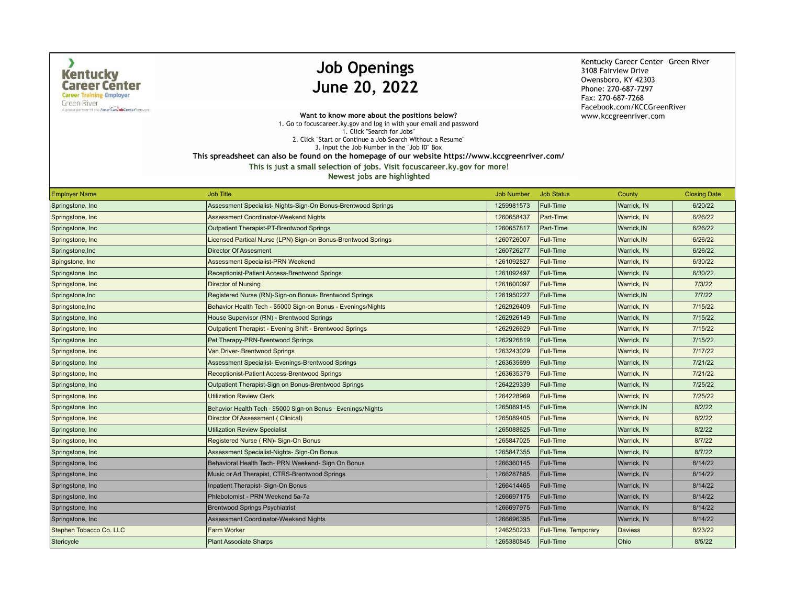$\lambda$ 

**Green River** A proud partner of the American Job Center hetwork

# **Job Openings** June 20, 2022

Kentucky Career Center--Green River 3108 Fairview Drive Owensboro, KY 42303 Phone: 270-687-7297 Fax: 270-687-7268 Facebook.com/KCCGreenRiver www.kccgreenriver.com

Want to know more about the positions below? 1. Go to focuscareer.ky.gov and log in with your email and password 1. Click "Search for Jobs" 2. Click "Start or Continue a Job Search Without a Resume" 3. Input the Job Number in the "Job ID" Box This spreadsheet can also be found on the homepage of our website https://www.kccgreenriver.com/

This is just a small selection of jobs. Visit focuscareer.ky.gov for more!

| <b>Employer Name</b>    | <b>Job Title</b>                                              | <b>Job Number</b> | <b>Job Status</b>    | County         | <b>Closing Date</b> |
|-------------------------|---------------------------------------------------------------|-------------------|----------------------|----------------|---------------------|
| Springstone, Inc.       | Assessment Specialist- Nights-Sign-On Bonus-Brentwood Springs | 1259981573        | Full-Time            | Warrick, IN    | 6/20/22             |
| Springstone, Inc.       | <b>Assessment Coordinator-Weekend Nights</b>                  | 1260658437        | Part-Time            | Warrick, IN    | 6/26/22             |
| Springstone, Inc        | Outpatient Therapist-PT-Brentwood Springs                     | 1260657817        | Part-Time            | Warrick, IN    | 6/26/22             |
| Springstone, Inc        | Licensed Partical Nurse (LPN) Sign-on Bonus-Brentwood Springs | 1260726007        | <b>Full-Time</b>     | Warrick, IN    | 6/26/22             |
| Springstone, Inc        | Director Of Assesment                                         | 1260726277        | Full-Time            | Warrick, IN    | 6/26/22             |
| Spingstone, Inc         | <b>Assessment Specialist-PRN Weekend</b>                      | 1261092827        | <b>Full-Time</b>     | Warrick, IN    | 6/30/22             |
| Springstone, Inc.       | Receptionist-Patient Access-Brentwood Springs                 | 1261092497        | Full-Time            | Warrick, IN    | 6/30/22             |
| Springstone, Inc.       | <b>Director of Nursing</b>                                    | 1261600097        | <b>Full-Time</b>     | Warrick, IN    | 7/3/22              |
| Springstone, Inc        | Registered Nurse (RN)-Sign-on Bonus- Brentwood Springs        | 1261950227        | Full-Time            | Warrick, IN    | 7/7/22              |
| Springstone, Inc        | Behavior Health Tech - \$5000 Sign-on Bonus - Evenings/Nights | 1262926409        | <b>Full-Time</b>     | Warrick, IN    | 7/15/22             |
| Springstone, Inc.       | House Supervisor (RN) - Brentwood Springs                     | 1262926149        | Full-Time            | Warrick, IN    | 7/15/22             |
| Springstone, Inc.       | Outpatient Therapist - Evening Shift - Brentwood Springs      | 1262926629        | <b>Full-Time</b>     | Warrick, IN    | 7/15/22             |
| Springstone, Inc.       | Pet Therapy-PRN-Brentwood Springs                             | 1262926819        | Full-Time            | Warrick, IN    | 7/15/22             |
| Springstone, Inc.       | Van Driver- Brentwood Springs                                 | 1263243029        | Full-Time            | Warrick, IN    | 7/17/22             |
| Springstone, Inc.       | Assessment Specialist- Evenings-Brentwood Springs             | 1263635699        | Full-Time            | Warrick, IN    | 7/21/22             |
| Springstone, Inc.       | Receptionist-Patient Access-Brentwood Springs                 | 1263635379        | <b>Full-Time</b>     | Warrick, IN    | 7/21/22             |
| Springstone, Inc.       | Outpatient Therapist-Sign on Bonus-Brentwood Springs          | 1264229339        | Full-Time            | Warrick, IN    | 7/25/22             |
| Springstone, Inc.       | <b>Utilization Review Clerk</b>                               | 1264228969        | <b>Full-Time</b>     | Warrick, IN    | 7/25/22             |
| Springstone, Inc.       | Behavior Health Tech - \$5000 Sign-on Bonus - Evenings/Nights | 1265089145        | Full-Time            | Warrick, IN    | 8/2/22              |
| Springstone, Inc.       | Director Of Assessment (Clinical)                             | 1265089405        | Full-Time            | Warrick, IN    | 8/2/22              |
| Springstone, Inc.       | <b>Utilization Review Specialist</b>                          | 1265088625        | Full-Time            | Warrick, IN    | 8/2/22              |
| Springstone, Inc        | Registered Nurse (RN)- Sign-On Bonus                          | 1265847025        | <b>Full-Time</b>     | Warrick, IN    | 8/7/22              |
| Springstone, Inc.       | Assessment Specialist-Nights- Sign-On Bonus                   | 1265847355        | Full-Time            | Warrick, IN    | 8/7/22              |
| Springstone, Inc.       | Behavioral Health Tech- PRN Weekend- Sign On Bonus            | 1266360145        | Full-Time            | Warrick, IN    | 8/14/22             |
| Springstone, Inc.       | Music or Art Therapist, CTRS-Brentwood Springs                | 1266287885        | Full-Time            | Warrick, IN    | 8/14/22             |
| Springstone, Inc.       | Inpatient Therapist- Sign-On Bonus                            | 1266414465        | Full-Time            | Warrick, IN    | 8/14/22             |
| Springstone, Inc.       | Phlebotomist - PRN Weekend 5a-7a                              | 1266697175        | Full-Time            | Warrick, IN    | 8/14/22             |
| Springstone, Inc        | <b>Brentwood Springs Psychiatrist</b>                         | 1266697975        | Full-Time            | Warrick, IN    | 8/14/22             |
| Springstone, Inc.       | Assessment Coordinator-Weekend Nights                         | 1266696395        | Full-Time            | Warrick, IN    | 8/14/22             |
| Stephen Tobacco Co. LLC | <b>Farm Worker</b>                                            | 1246250233        | Full-Time, Temporary | <b>Daviess</b> | 8/23/22             |
| Stericycle              | <b>Plant Associate Sharps</b>                                 | 1265380845        | Full-Time            | Ohio           | 8/5/22              |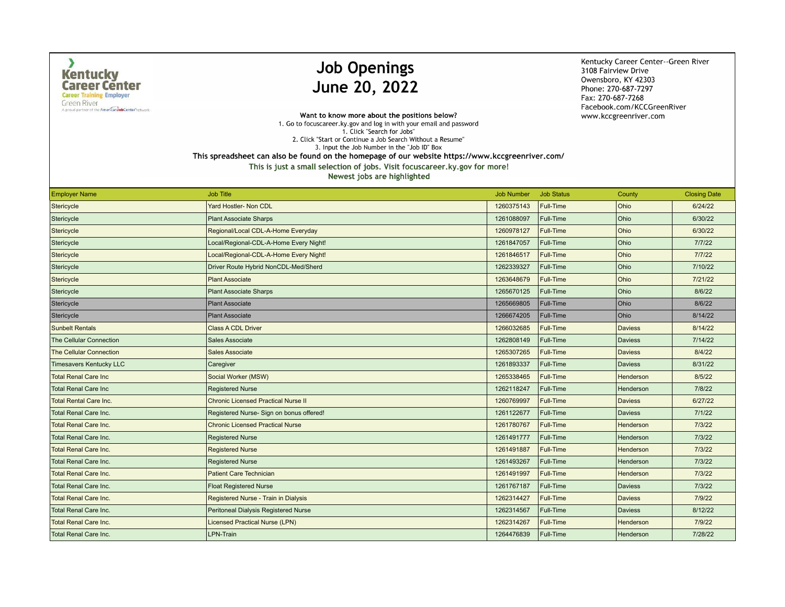$\lambda$ 

**Green River** A proud partner of the American Job Center hetwork

# **Job Openings** June 20, 2022

Kentucky Career Center--Green River 3108 Fairview Drive Owensboro, KY 42303 Phone: 270-687-7297 Fax: 270-687-7268 Facebook.com/KCCGreenRiver www.kccgreenriver.com

Want to know more about the positions below? 1. Go to focuscareer.ky.gov and log in with your email and password 1. Click "Search for Jobs" 2. Click "Start or Continue a Job Search Without a Resume" 3. Input the Job Number in the "Job ID" Box This spreadsheet can also be found on the homepage of our website https://www.kccgreenriver.com/

This is just a small selection of jobs. Visit focuscareer.ky.gov for more!

| <b>Employer Name</b>           | <b>Job Title</b>                           | <b>Job Number</b> | <b>Job Status</b> | County         | <b>Closing Date</b> |
|--------------------------------|--------------------------------------------|-------------------|-------------------|----------------|---------------------|
| Stericycle                     | Yard Hostler- Non CDL                      | 1260375143        | Full-Time         | Ohio           | 6/24/22             |
| Stericycle                     | <b>Plant Associate Sharps</b>              | 1261088097        | Full-Time         | Ohio           | 6/30/22             |
| Stericycle                     | Regional/Local CDL-A-Home Everyday         | 1260978127        | Full-Time         | Ohio           | 6/30/22             |
| Stericycle                     | Local/Regional-CDL-A-Home Every Night!     | 1261847057        | Full-Time         | Ohio           | 7/7/22              |
| Stericycle                     | Local/Regional-CDL-A-Home Every Night!     | 1261846517        | Full-Time         | Ohio           | 7/7/22              |
| Stericycle                     | Driver Route Hybrid NonCDL-Med/Sherd       | 1262339327        | Full-Time         | Ohio           | 7/10/22             |
| Stericycle                     | <b>Plant Associate</b>                     | 1263648679        | Full-Time         | Ohio           | 7/21/22             |
| Stericycle                     | <b>Plant Associate Sharps</b>              | 1265670125        | Full-Time         | Ohio           | 8/6/22              |
| Stericycle                     | <b>Plant Associate</b>                     | 1265669805        | Full-Time         | Ohio           | 8/6/22              |
| Stericycle                     | <b>Plant Associate</b>                     | 1266674205        | Full-Time         | Ohio           | 8/14/22             |
| <b>Sunbelt Rentals</b>         | <b>Class A CDL Driver</b>                  | 1266032685        | <b>Full-Time</b>  | <b>Daviess</b> | 8/14/22             |
| <b>The Cellular Connection</b> | Sales Associate                            | 1262808149        | Full-Time         | <b>Daviess</b> | 7/14/22             |
| <b>The Cellular Connection</b> | <b>Sales Associate</b>                     | 1265307265        | Full-Time         | <b>Daviess</b> | 8/4/22              |
| Timesavers Kentucky LLC        | Caregiver                                  | 1261893337        | Full-Time         | <b>Daviess</b> | 8/31/22             |
| <b>Total Renal Care Inc</b>    | Social Worker (MSW)                        | 1265338465        | Full-Time         | Henderson      | 8/5/22              |
| Total Renal Care Inc           | <b>Registered Nurse</b>                    | 1262118247        | Full-Time         | Henderson      | 7/8/22              |
| <b>Total Rental Care Inc.</b>  | <b>Chronic Licensed Practical Nurse II</b> | 1260769997        | Full-Time         | <b>Daviess</b> | 6/27/22             |
| <b>Total Renal Care Inc.</b>   | Registered Nurse-Sign on bonus offered!    | 1261122677        | Full-Time         | <b>Daviess</b> | 7/1/22              |
| <b>Total Renal Care Inc.</b>   | <b>Chronic Licensed Practical Nurse</b>    | 1261780767        | Full-Time         | Henderson      | 7/3/22              |
| Total Renal Care Inc.          | <b>Registered Nurse</b>                    | 1261491777        | Full-Time         | Henderson      | 7/3/22              |
| <b>Total Renal Care Inc.</b>   | <b>Registered Nurse</b>                    | 1261491887        | Full-Time         | Henderson      | 7/3/22              |
| <b>Total Renal Care Inc.</b>   | <b>Registered Nurse</b>                    | 1261493267        | Full-Time         | Henderson      | 7/3/22              |
| <b>Total Renal Care Inc.</b>   | <b>Patient Care Technician</b>             | 1261491997        | <b>Full-Time</b>  | Henderson      | 7/3/22              |
| <b>Total Renal Care Inc.</b>   | <b>Float Registered Nurse</b>              | 1261767187        | Full-Time         | <b>Daviess</b> | 7/3/22              |
| <b>Total Renal Care Inc.</b>   | Registered Nurse - Train in Dialysis       | 1262314427        | <b>Full-Time</b>  | <b>Daviess</b> | 7/9/22              |
| <b>Total Renal Care Inc.</b>   | Peritoneal Dialysis Registered Nurse       | 1262314567        | Full-Time         | <b>Daviess</b> | 8/12/22             |
| <b>Total Renal Care Inc.</b>   | <b>Licensed Practical Nurse (LPN)</b>      | 1262314267        | Full-Time         | Henderson      | 7/9/22              |
| <b>Total Renal Care Inc.</b>   | LPN-Train                                  | 1264476839        | Full-Time         | Henderson      | 7/28/22             |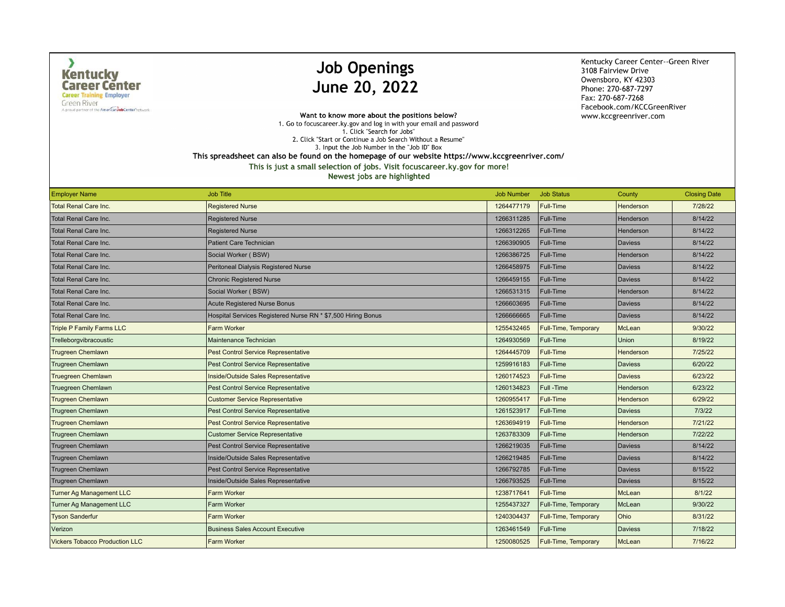$\lambda$ 

**Green River** A proud partner of the American Job Center hetwork

## **Job Openings** June 20, 2022

Kentucky Career Center--Green River 3108 Fairview Drive Owensboro, KY 42303 Phone: 270-687-7297 Fax: 270-687-7268 Facebook.com/KCCGreenRiver www.kccgreenriver.com

Want to know more about the positions below? 1. Go to focuscareer.ky.gov and log in with your email and password 1. Click "Search for Jobs" 2. Click "Start or Continue a Job Search Without a Resume" 3. Input the Job Number in the "Job ID" Box

This spreadsheet can also be found on the homepage of our website https://www.kccgreenriver.com/

| <b>Employer Name</b>                  | <b>Job Title</b>                                             | <b>Job Number</b> | <b>Job Status</b>           | County         | <b>Closing Date</b> |
|---------------------------------------|--------------------------------------------------------------|-------------------|-----------------------------|----------------|---------------------|
| <b>Total Renal Care Inc.</b>          | <b>Registered Nurse</b>                                      | 1264477179        | <b>Full-Time</b>            | Henderson      | 7/28/22             |
| Total Renal Care Inc.                 | <b>Registered Nurse</b>                                      | 1266311285        | Full-Time                   | Henderson      | 8/14/22             |
| Total Renal Care Inc.                 | <b>Registered Nurse</b>                                      | 1266312265        | Full-Time                   | Henderson      | 8/14/22             |
| <b>Total Renal Care Inc.</b>          | <b>Patient Care Technician</b>                               | 1266390905        | Full-Time                   | <b>Daviess</b> | 8/14/22             |
| <b>Total Renal Care Inc.</b>          | Social Worker (BSW)                                          | 1266386725        | Full-Time                   | Henderson      | 8/14/22             |
| <b>Total Renal Care Inc.</b>          | Peritoneal Dialysis Registered Nurse                         | 1266458975        | Full-Time                   | <b>Daviess</b> | 8/14/22             |
| <b>Total Renal Care Inc.</b>          | <b>Chronic Registered Nurse</b>                              | 1266459155        | <b>Full-Time</b>            | <b>Daviess</b> | 8/14/22             |
| <b>Total Renal Care Inc.</b>          | Social Worker (BSW)                                          | 1266531315        | Full-Time                   | Henderson      | 8/14/22             |
| <b>Total Renal Care Inc.</b>          | <b>Acute Registered Nurse Bonus</b>                          | 1266603695        | Full-Time                   | Daviess        | 8/14/22             |
| <b>Total Renal Care Inc.</b>          | Hospital Services Registered Nurse RN * \$7,500 Hiring Bonus | 1266666665        | Full-Time                   | Daviess        | 8/14/22             |
| <b>Triple P Family Farms LLC</b>      | <b>Farm Worker</b>                                           | 1255432465        | Full-Time, Temporary        | McLean         | 9/30/22             |
| Trelleborgvibracoustic                | Maintenance Technician                                       | 1264930569        | Full-Time                   | Union          | 8/19/22             |
| <b>Trugreen Chemlawn</b>              | <b>Pest Control Service Representative</b>                   | 1264445709        | Full-Time                   | Henderson      | 7/25/22             |
| Trugreen Chemlawn                     | Pest Control Service Representative                          | 1259916183        | Full-Time                   | <b>Daviess</b> | 6/20/22             |
| <b>Truegreen Chemlawn</b>             | Inside/Outside Sales Representative                          | 1260174523        | <b>Full-Time</b>            | <b>Daviess</b> | 6/23/22             |
| <b>Truegreen Chemlawn</b>             | <b>Pest Control Service Representative</b>                   | 1260134823        | Full -Time                  | Henderson      | 6/23/22             |
| <b>Trugreen Chemlawn</b>              | <b>Customer Service Representative</b>                       | 1260955417        | <b>Full-Time</b>            | Henderson      | 6/29/22             |
| <b>Trugreen Chemlawn</b>              | Pest Control Service Representative                          | 1261523917        | Full-Time                   | <b>Daviess</b> | 7/3/22              |
| <b>Trugreen Chemlawn</b>              | <b>Pest Control Service Representative</b>                   | 1263694919        | <b>Full-Time</b>            | Henderson      | 7/21/22             |
| Trugreen Chemlawn                     | <b>Customer Service Representative</b>                       | 1263783309        | Full-Time                   | Henderson      | 7/22/22             |
| Trugreen Chemlawn                     | <b>Pest Control Service Representative</b>                   | 1266219035        | Full-Time                   | <b>Daviess</b> | 8/14/22             |
| Trugreen Chemlawn                     | Inside/Outside Sales Representative                          | 1266219485        | Full-Time                   | <b>Daviess</b> | 8/14/22             |
| Trugreen Chemlawn                     | <b>Pest Control Service Representative</b>                   | 1266792785        | Full-Time                   | <b>Daviess</b> | 8/15/22             |
| Trugreen Chemlawn                     | Inside/Outside Sales Representative                          | 1266793525        | Full-Time                   | <b>Daviess</b> | 8/15/22             |
| <b>Turner Ag Management LLC</b>       | <b>Farm Worker</b>                                           | 1238717641        | <b>Full-Time</b>            | McLean         | 8/1/22              |
| Turner Ag Management LLC              | <b>Farm Worker</b>                                           | 1255437327        | Full-Time, Temporary        | McLean         | 9/30/22             |
| <b>Tyson Sanderfur</b>                | <b>Farm Worker</b>                                           | 1240304437        | Full-Time, Temporary        | Ohio           | 8/31/22             |
| Verizon                               | <b>Business Sales Account Executive</b>                      | 1263461549        | Full-Time                   | Daviess        | 7/18/22             |
| <b>Vickers Tobacco Production LLC</b> | <b>Farm Worker</b>                                           | 1250080525        | <b>Full-Time, Temporary</b> | McLean         | 7/16/22             |